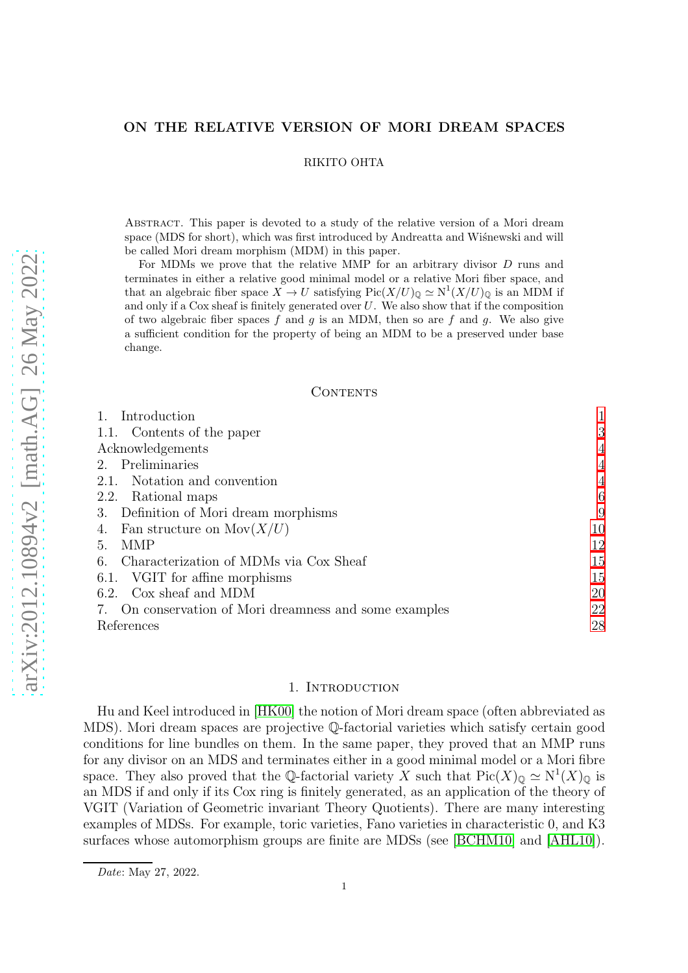## RIKITO OHTA

Abstract. This paper is devoted to a study of the relative version of a Mori dream space (MDS for short), which was first introduced by Andreatta and Wisnewski and will be called Mori dream morphism (MDM) in this paper.

For MDMs we prove that the relative MMP for an arbitrary divisor D runs and terminates in either a relative good minimal model or a relative Mori fiber space, and that an algebraic fiber space  $X \to U$  satisfying  $Pic(X/U)_{\mathbb{Q}} \simeq N^1(X/U)_{\mathbb{Q}}$  is an MDM if and only if a Cox sheaf is finitely generated over  $U$ . We also show that if the composition of two algebraic fiber spaces f and g is an MDM, then so are f and g. We also give a sufficient condition for the property of being an MDM to be a preserved under base change.

### CONTENTS

| Introduction                                           |    |
|--------------------------------------------------------|----|
| 1.1. Contents of the paper                             | 3  |
| Acknowledgements                                       | 4  |
| 2. Preliminaries                                       | 4  |
| 2.1. Notation and convention                           | 4  |
| 2.2. Rational maps                                     | 6  |
| 3. Definition of Mori dream morphisms                  | 9  |
| Fan structure on $Mov(X/U)$<br>4.                      | 10 |
| MMP<br>5.                                              | 12 |
| Characterization of MDMs via Cox Sheaf<br>6.           | 15 |
| 6.1. VGIT for affine morphisms                         | 15 |
| 6.2. Cox sheaf and MDM                                 | 20 |
| 7. On conservation of Mori dreamness and some examples | 22 |
| References                                             | 28 |

### 1. INTRODUCTION

<span id="page-0-0"></span>Hu and Keel introduced in [\[HK00\]](#page-27-1) the notion of Mori dream space (often abbreviated as MDS). Mori dream spaces are projective Q-factorial varieties which satisfy certain good conditions for line bundles on them. In the same paper, they proved that an MMP runs for any divisor on an MDS and terminates either in a good minimal model or a Mori fibre space. They also proved that the Q-factorial variety X such that  $Pic(X)_{\mathbb{Q}} \simeq N^1(X)_{\mathbb{Q}}$  is an MDS if and only if its Cox ring is finitely generated, as an application of the theory of VGIT (Variation of Geometric invariant Theory Quotients). There are many interesting examples of MDSs. For example, toric varieties, Fano varieties in characteristic 0, and K3 surfaces whose automorphism groups are finite are MDSs (see [\[BCHM10\]](#page-27-2) and [\[AHL10\]](#page-27-3)).

Date: May 27, 2022.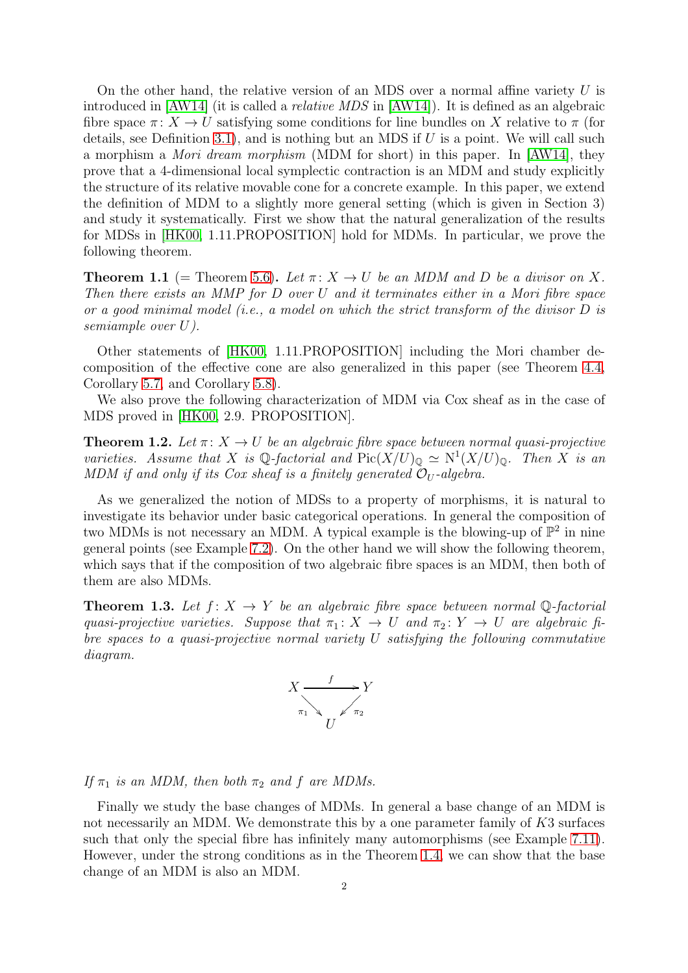On the other hand, the relative version of an MDS over a normal affine variety  $U$  is introduced in [\[AW14\]](#page-27-4) (it is called a relative MDS in [\[AW14\]](#page-27-4)). It is defined as an algebraic fibre space  $\pi: X \to U$  satisfying some conditions for line bundles on X relative to  $\pi$  (for details, see Definition [3.1\)](#page-8-1), and is nothing but an MDS if  $U$  is a point. We will call such a morphism a Mori dream morphism (MDM for short) in this paper. In [\[AW14\]](#page-27-4), they prove that a 4-dimensional local symplectic contraction is an MDM and study explicitly the structure of its relative movable cone for a concrete example. In this paper, we extend the definition of MDM to a slightly more general setting (which is given in Section 3) and study it systematically. First we show that the natural generalization of the results for MDSs in [\[HK00,](#page-27-1) 1.11.PROPOSITION] hold for MDMs. In particular, we prove the following theorem.

<span id="page-1-0"></span>**Theorem 1.1** (= Theorem [5.6\)](#page-13-0). Let  $\pi: X \to U$  be an MDM and D be a divisor on X. Then there exists an MMP for D over U and it terminates either in a Mori fibre space or a good minimal model (i.e., a model on which the strict transform of the divisor D is semiample over U).

Other statements of [\[HK00,](#page-27-1) 1.11.PROPOSITION] including the Mori chamber decomposition of the effective cone are also generalized in this paper (see Theorem [4.4,](#page-9-1) Corollary [5.7,](#page-14-2) and Corollary [5.8\)](#page-14-3).

We also prove the following characterization of MDM via Cox sheaf as in the case of MDS proved in [\[HK00,](#page-27-1) 2.9. PROPOSITION].

<span id="page-1-1"></span>**Theorem 1.2.** Let  $\pi: X \to U$  be an algebraic fibre space between normal quasi-projective varieties. Assume that X is  $\mathbb{Q}$ -factorial and  $Pic(X/U)_{\mathbb{Q}} \simeq N^1(X/U)_{\mathbb{Q}}$ . Then X is an MDM if and only if its Cox sheaf is a finitely generated  $\mathcal{O}_U$ -algebra.

As we generalized the notion of MDSs to a property of morphisms, it is natural to investigate its behavior under basic categorical operations. In general the composition of two MDMs is not necessary an MDM. A typical example is the blowing-up of  $\mathbb{P}^2$  in nine general points (see Example [7.2\)](#page-21-1). On the other hand we will show the following theorem, which says that if the composition of two algebraic fibre spaces is an MDM, then both of them are also MDMs.

<span id="page-1-2"></span>**Theorem 1.3.** Let  $f: X \rightarrow Y$  be an algebraic fibre space between normal Q-factorial quasi-projective varieties. Suppose that  $\pi_1: X \to U$  and  $\pi_2: Y \to U$  are algebraic fibre spaces to a quasi-projective normal variety U satisfying the following commutative diagram.



If  $\pi_1$  is an MDM, then both  $\pi_2$  and f are MDMs.

Finally we study the base changes of MDMs. In general a base change of an MDM is not necessarily an MDM. We demonstrate this by a one parameter family of K3 surfaces such that only the special fibre has infinitely many automorphisms (see Example [7.11\)](#page-26-0). However, under the strong conditions as in the Theorem [1.4,](#page-2-1) we can show that the base change of an MDM is also an MDM.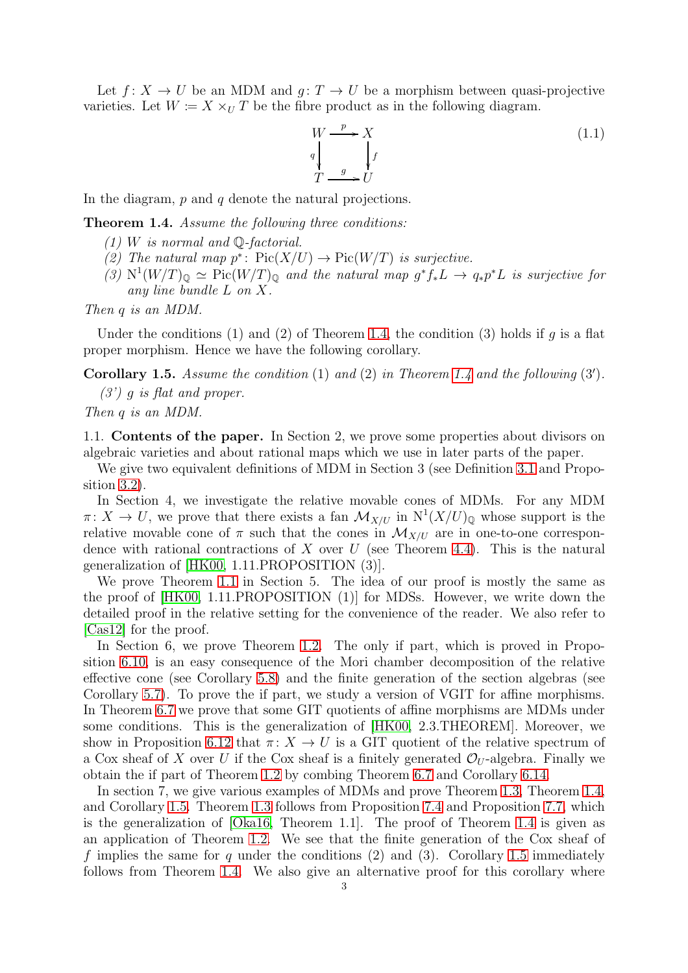Let  $f: X \to U$  be an MDM and  $g: T \to U$  be a morphism between quasi-projective varieties. Let  $W = X \times_U T$  be the fibre product as in the following diagram.

$$
W \xrightarrow{p} X
$$
  
\n
$$
q \downarrow f
$$
  
\n
$$
T \xrightarrow{g} U
$$
\n(1.1)

In the diagram,  $p$  and  $q$  denote the natural projections.

<span id="page-2-1"></span>Theorem 1.4. Assume the following three conditions:

- $(1)$  W is normal and Q-factorial.
- (2) The natural map  $p^*$ :  $Pic(X/U) \to Pic(W/T)$  is surjective.
- (3)  $N^1(W/T)_{\mathbb{Q}} \simeq \text{Pic}(W/T)_{\mathbb{Q}}$  and the natural map  $g^*f_*L \to q_*p^*L$  is surjective for any line bundle L on X.

Then q is an MDM.

Under the conditions (1) and (2) of Theorem [1.4,](#page-2-1) the condition (3) holds if q is a flat proper morphism. Hence we have the following corollary.

<span id="page-2-2"></span>Corollary 1.5. Assume the condition  $(1)$  and  $(2)$  in Theorem [1.4](#page-2-1) and the following  $(3')$ .

 $(3')$  g is flat and proper. Then q is an MDM.

<span id="page-2-0"></span>1.1. Contents of the paper. In Section 2, we prove some properties about divisors on algebraic varieties and about rational maps which we use in later parts of the paper.

We give two equivalent definitions of MDM in Section 3 (see Definition [3.1](#page-8-1) and Proposition [3.2\)](#page-8-2).

In Section 4, we investigate the relative movable cones of MDMs. For any MDM  $\pi: X \to U$ , we prove that there exists a fan  $\mathcal{M}_{X/U}$  in  $N^1(X/U)_{\mathbb{Q}}$  whose support is the relative movable cone of  $\pi$  such that the cones in  $\mathcal{M}_{X/U}$  are in one-to-one correspondence with rational contractions of X over  $U$  (see Theorem [4.4\)](#page-9-1). This is the natural generalization of [\[HK00,](#page-27-1) 1.11.PROPOSITION (3)].

We prove Theorem [1.1](#page-1-0) in Section 5. The idea of our proof is mostly the same as the proof of [\[HK00,](#page-27-1) 1.11.PROPOSITION (1)] for MDSs. However, we write down the detailed proof in the relative setting for the convenience of the reader. We also refer to [\[Cas12\]](#page-27-5) for the proof.

In Section 6, we prove Theorem [1.2.](#page-1-1) The only if part, which is proved in Proposition [6.10,](#page-19-1) is an easy consequence of the Mori chamber decomposition of the relative effective cone (see Corollary [5.8\)](#page-14-3) and the finite generation of the section algebras (see Corollary [5.7\)](#page-14-2). To prove the if part, we study a version of VGIT for affine morphisms. In Theorem [6.7](#page-16-0) we prove that some GIT quotients of affine morphisms are MDMs under some conditions. This is the generalization of [\[HK00,](#page-27-1) 2.3.THEOREM]. Moreover, we show in Proposition [6.12](#page-20-0) that  $\pi: X \to U$  is a GIT quotient of the relative spectrum of a Cox sheaf of X over U if the Cox sheaf is a finitely generated  $\mathcal{O}_U$ -algebra. Finally we obtain the if part of Theorem [1.2](#page-1-1) by combing Theorem [6.7](#page-16-0) and Corollary [6.14.](#page-21-2)

In section 7, we give various examples of MDMs and prove Theorem [1.3,](#page-1-2) Theorem [1.4,](#page-2-1) and Corollary [1.5.](#page-2-2) Theorem [1.3](#page-1-2) follows from Proposition [7.4](#page-22-0) and Proposition [7.7,](#page-23-0) which is the generalization of [\[Oka16,](#page-28-0) Theorem 1.1]. The proof of Theorem [1.4](#page-2-1) is given as an application of Theorem [1.2.](#page-1-1) We see that the finite generation of the Cox sheaf of f implies the same for q under the conditions (2) and (3). Corollary [1.5](#page-2-2) immediately follows from Theorem [1.4.](#page-2-1) We also give an alternative proof for this corollary where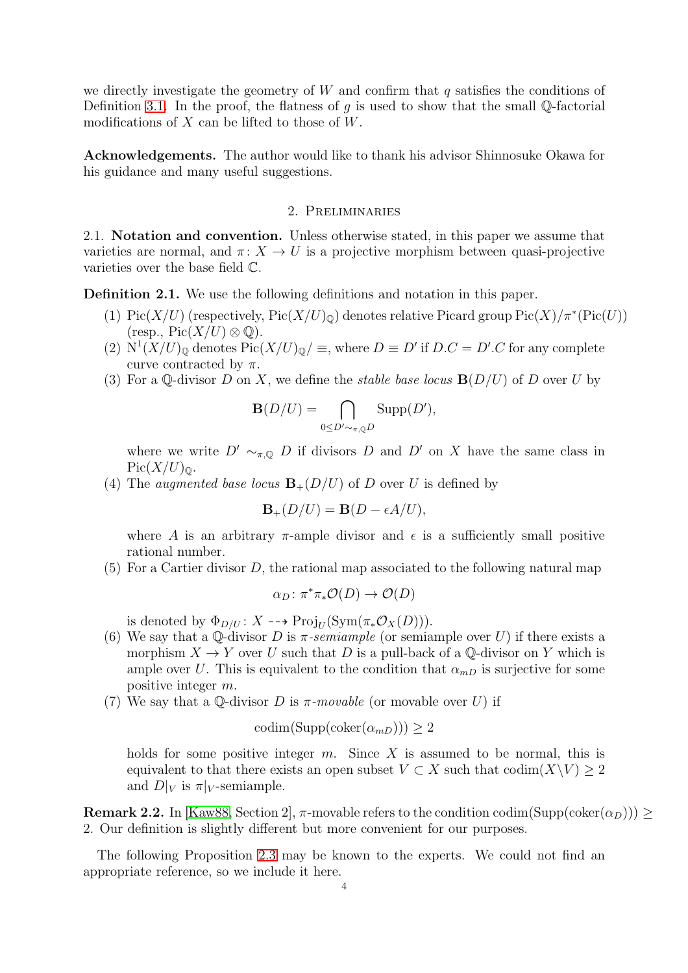we directly investigate the geometry of  $W$  and confirm that q satisfies the conditions of Definition [3.1.](#page-8-1) In the proof, the flatness of g is used to show that the small Q-factorial modifications of  $X$  can be lifted to those of  $W$ .

<span id="page-3-1"></span><span id="page-3-0"></span>Acknowledgements. The author would like to thank his advisor Shinnosuke Okawa for his guidance and many useful suggestions.

# 2. Preliminaries

<span id="page-3-2"></span>2.1. Notation and convention. Unless otherwise stated, in this paper we assume that varieties are normal, and  $\pi: X \to U$  is a projective morphism between quasi-projective varieties over the base field C.

<span id="page-3-3"></span>Definition 2.1. We use the following definitions and notation in this paper.

- (1) Pic(X/U) (respectively,  $Pic(X/U)_\mathbb{Q}$ ) denotes relative Picard group  $Pic(X)/\pi^*(Pic(U))$  $(\text{resp., Pic}(X/U) \otimes \mathbb{Q}).$
- (2)  $N^1(X/U)_{\mathbb{Q}}$  denotes  $Pic(X/U)_{\mathbb{Q}}/\equiv$ , where  $D \equiv D'$  if  $D.C = D'.C$  for any complete curve contracted by  $\pi$ .
- (3) For a Q-divisor D on X, we define the *stable base locus*  $\mathbf{B}(D/U)$  of D over U by

$$
\mathbf{B}(D/U) = \bigcap_{0 \leq D' \sim_{\pi,Q} D} \mathrm{Supp}(D'),
$$

where we write  $D' \sim_{\pi, \mathbb{Q}} D$  if divisors D and D' on X have the same class in  $Pic(X/U)_{\mathbb{Q}}$ .

(4) The *augmented base locus*  $\mathbf{B}_{+}(D/U)$  of D over U is defined by

$$
\mathbf{B}_{+}(D/U) = \mathbf{B}(D - \epsilon A/U),
$$

where A is an arbitrary  $\pi$ -ample divisor and  $\epsilon$  is a sufficiently small positive rational number.

(5) For a Cartier divisor D, the rational map associated to the following natural map

$$
\alpha_D \colon \pi^* \pi_* \mathcal{O}(D) \to \mathcal{O}(D)
$$

is denoted by  $\Phi_{D/U}$ :  $X \dashrightarrow \text{Proj}_U(\text{Sym}(\pi_* \mathcal{O}_X(D)))$ .

- (6) We say that a Q-divisor D is  $\pi$ -semiample (or semiample over U) if there exists a morphism  $X \to Y$  over U such that D is a pull-back of a Q-divisor on Y which is ample over U. This is equivalent to the condition that  $\alpha_{mD}$  is surjective for some positive integer m.
- (7) We say that a Q-divisor D is  $\pi$ -movable (or movable over U) if

$$
\mathrm{codim}(\mathrm{Supp}(\mathrm{coker}(\alpha_{mD}))) \ge 2
$$

holds for some positive integer  $m$ . Since  $X$  is assumed to be normal, this is equivalent to that there exists an open subset  $V \subset X$  such that  $\text{codim}(X\backslash V) \geq 2$ and  $D|_V$  is  $\pi|_V$ -semiample.

**Remark 2.2.** In [\[Kaw88,](#page-27-6) Section 2],  $\pi$ -movable refers to the condition codim(Supp(coker( $\alpha_D$ ))) > 2. Our definition is slightly different but more convenient for our purposes.

The following Proposition [2.3](#page-4-0) may be known to the experts. We could not find an appropriate reference, so we include it here.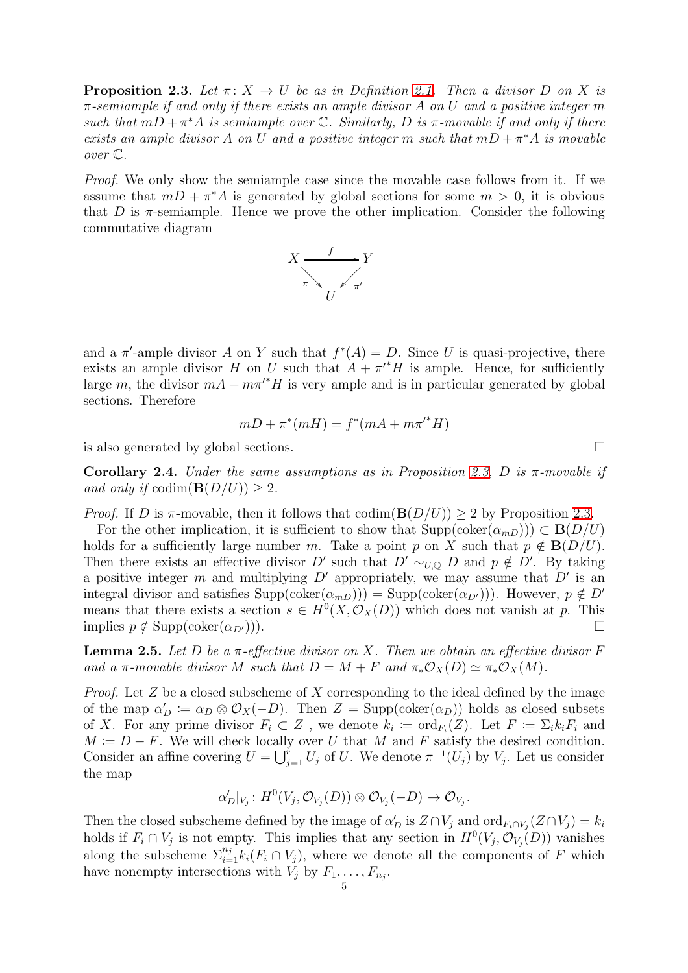<span id="page-4-0"></span>**Proposition 2.3.** Let  $\pi: X \to U$  be as in Definition [2.1.](#page-3-3) Then a divisor D on X is  $\pi$ -semiample if and only if there exists an ample divisor A on U and a positive integer m such that  $mD + \pi^*A$  is semiample over  $\mathbb C$ . Similarly, D is  $\pi$ -movable if and only if there exists an ample divisor A on U and a positive integer m such that  $mD + \pi^* A$  is movable over C.

Proof. We only show the semiample case since the movable case follows from it. If we assume that  $mD + \pi^*A$  is generated by global sections for some  $m > 0$ , it is obvious that D is  $\pi$ -semiample. Hence we prove the other implication. Consider the following commutative diagram



and a  $\pi'$ -ample divisor A on Y such that  $f^*(A) = D$ . Since U is quasi-projective, there exists an ample divisor H on U such that  $A + \pi'^* H$  is ample. Hence, for sufficiently large m, the divisor  $mA + m\pi'^*H$  is very ample and is in particular generated by global sections. Therefore

$$
mD + \pi^*(mH) = f^*(mA + m\pi'^*H)
$$

is also generated by global sections.  $\square$ 

<span id="page-4-2"></span>Corollary 2.4. Under the same assumptions as in Proposition [2.3,](#page-4-0) D is  $\pi$ -movable if and only if  $\text{codim}(\mathbf{B}(D/U)) \geq 2$ .

*Proof.* If D is  $\pi$ -movable, then it follows that  $\text{codim}(\mathbf{B}(D/U)) \geq 2$  by Proposition [2.3.](#page-4-0)

For the other implication, it is sufficient to show that  $\text{Supp}(\text{coker}(\alpha_{mD})) \subset \mathbf{B}(D/U)$ holds for a sufficiently large number m. Take a point p on X such that  $p \notin B(D/U)$ . Then there exists an effective divisor D' such that  $D' \sim_{U,Q} D$  and  $p \notin D'$ . By taking a positive integer m and multiplying  $D'$  appropriately, we may assume that  $D'$  is an integral divisor and satisfies  $\text{Supp}(\text{coker}(\alpha_{mD}))) = \text{Supp}(\text{coker}(\alpha_{D'})))$ . However,  $p \notin D'$ means that there exists a section  $s \in H^0(X, \mathcal{O}_X(D))$  which does not vanish at p. This implies  $p \notin \text{Supp}(\text{coker}(\alpha_{D'})))$ .

<span id="page-4-1"></span>**Lemma 2.5.** Let D be a  $\pi$ -effective divisor on X. Then we obtain an effective divisor F and a  $\pi$ -movable divisor M such that  $D = M + F$  and  $\pi_* \mathcal{O}_X(D) \simeq \pi_* \mathcal{O}_X(M)$ .

*Proof.* Let  $Z$  be a closed subscheme of  $X$  corresponding to the ideal defined by the image of the map  $\alpha'_D := \alpha_D \otimes \mathcal{O}_X(-D)$ . Then  $Z = \text{Supp}(\text{coker}(\alpha_D))$  holds as closed subsets of X. For any prime divisor  $F_i \subset Z$ , we denote  $k_i := \text{ord}_{F_i}(Z)$ . Let  $F := \sum_i k_i F_i$  and  $M \coloneqq D - F$ . We will check locally over U that M and F satisfy the desired condition. Consider an affine covering  $U = \bigcup_{j=1}^{r} U_j$  of U. We denote  $\pi^{-1}(U_j)$  by  $V_j$ . Let us consider the map

$$
\alpha'_D|_{V_j}: H^0(V_j, \mathcal{O}_{V_j}(D))\otimes \mathcal{O}_{V_j}(-D)\to \mathcal{O}_{V_j}.
$$

Then the closed subscheme defined by the image of  $\alpha'_D$  is  $Z \cap V_j$  and  $\text{ord}_{F_i \cap V_j}(Z \cap V_j) = k_i$ holds if  $F_i \cap V_j$  is not empty. This implies that any section in  $H^0(V_j, \mathcal{O}_{V_j}(D))$  vanishes along the subscheme  $\sum_{i=1}^{n_j} k_i (F_i \cap V_j)$ , where we denote all the components of F which have nonempty intersections with  $V_j$  by  $F_1, \ldots, F_{n_j}$ .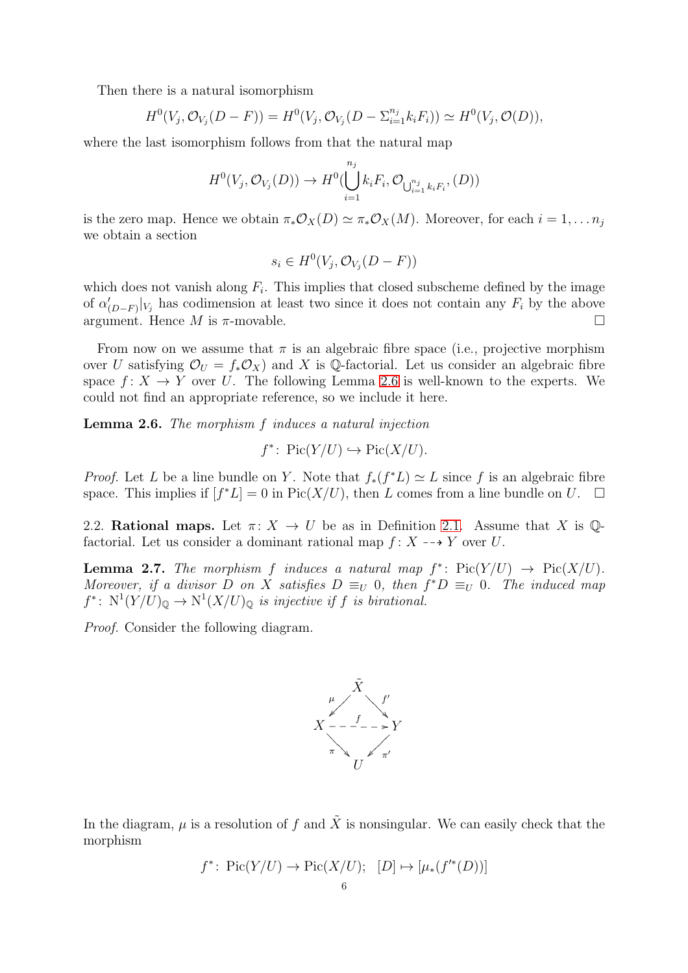Then there is a natural isomorphism

$$
H^{0}(V_{j}, \mathcal{O}_{V_{j}}(D - F)) = H^{0}(V_{j}, \mathcal{O}_{V_{j}}(D - \Sigma_{i=1}^{n_{j}} k_{i} F_{i})) \simeq H^{0}(V_{j}, \mathcal{O}(D)),
$$

where the last isomorphism follows from that the natural map

$$
H^0(V_j, \mathcal{O}_{V_j}(D)) \to H^0(\bigcup_{i=1}^{n_j} k_i F_i, \mathcal{O}_{\bigcup_{i=1}^{n_j} k_i F_i}, (D))
$$

is the zero map. Hence we obtain  $\pi_* \mathcal{O}_X(D) \simeq \pi_* \mathcal{O}_X(M)$ . Moreover, for each  $i = 1, \ldots n_j$ we obtain a section

$$
s_i \in H^0(V_j, \mathcal{O}_{V_j}(D - F))
$$

which does not vanish along  $F_i$ . This implies that closed subscheme defined by the image of  $\alpha'_{(D-F)}|_{V_j}$  has codimension at least two since it does not contain any  $F_i$  by the above argument. Hence  $M$  is  $\pi$ -movable.

From now on we assume that  $\pi$  is an algebraic fibre space (i.e., projective morphism over U satisfying  $\mathcal{O}_U = f_* \mathcal{O}_X$  and X is Q-factorial. Let us consider an algebraic fibre space  $f: X \to Y$  over U. The following Lemma [2.6](#page-5-1) is well-known to the experts. We could not find an appropriate reference, so we include it here.

<span id="page-5-1"></span>Lemma 2.6. The morphism f induces a natural injection

$$
f^* \colon \operatorname{Pic}(Y/U) \hookrightarrow \operatorname{Pic}(X/U).
$$

*Proof.* Let L be a line bundle on Y. Note that  $f_*(f^*L) \simeq L$  since f is an algebraic fibre space. This implies if  $[f^*L] = 0$  in Pic $(X/U)$ , then L comes from a line bundle on U.  $\Box$ 

<span id="page-5-0"></span>2.2. Rational maps. Let  $\pi: X \to U$  be as in Definition [2.1.](#page-3-3) Assume that X is  $\mathbb{Q}$ factorial. Let us consider a dominant rational map  $f: X \dashrightarrow Y$  over U.

<span id="page-5-2"></span>**Lemma 2.7.** The morphism f induces a natural map  $f^*$ :  $Pic(Y/U) \rightarrow Pic(X/U)$ . Moreover, if a divisor D on X satisfies  $D \equiv_U 0$ , then  $f^*D \equiv_U 0$ . The induced map  $f^*: \ N^1(Y/U)_{\mathbb{Q}} \to \N^1(X/U)_{\mathbb{Q}}$  is injective if f is birational.

Proof. Consider the following diagram.



In the diagram,  $\mu$  is a resolution of f and  $\tilde{X}$  is nonsingular. We can easily check that the morphism

$$
f^* \colon Pic(Y/U) \to Pic(X/U); [D] \mapsto [\mu_*(f'^*(D))]
$$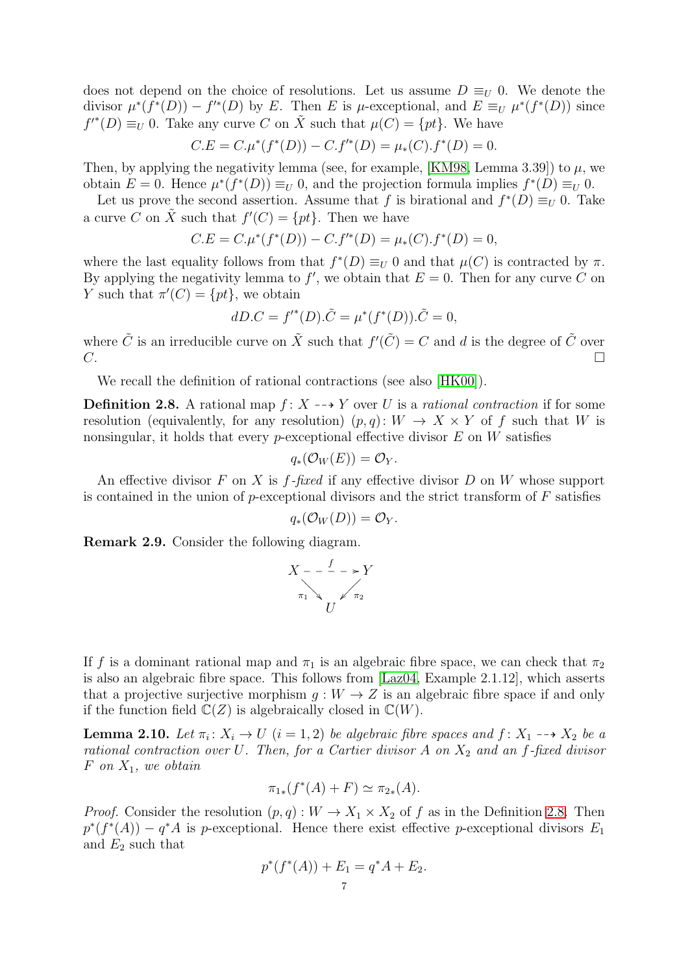does not depend on the choice of resolutions. Let us assume  $D \equiv_U 0$ . We denote the divisor  $\mu^*(f^*(D)) - f'^*(D)$  by E. Then E is  $\mu$ -exceptional, and  $E \equiv_U \mu^*(f^*(D))$  since  $f^{'}(D) \equiv_U 0$ . Take any curve C on  $\tilde{X}$  such that  $\mu(C) = \{pt\}$ . We have

$$
C.E = C.\mu^*(f^*(D)) - C.f'^*(D) = \mu_*(C).f^*(D) = 0.
$$

Then, by applying the negativity lemma (see, for example, [\[KM98,](#page-27-7) Lemma 3.39]) to  $\mu$ , we obtain  $E = 0$ . Hence  $\mu^*(f^*(D)) \equiv_U 0$ , and the projection formula implies  $f^*(D) \equiv_U 0$ .

Let us prove the second assertion. Assume that f is birational and  $f^*(D) \equiv_U 0$ . Take a curve C on  $\tilde{X}$  such that  $f'(C) = \{pt\}$ . Then we have

$$
C.E = C.\mu^*(f^*(D)) - C.f'^*(D) = \mu_*(C).f^*(D) = 0,
$$

where the last equality follows from that  $f^*(D) \equiv_U 0$  and that  $\mu(C)$  is contracted by  $\pi$ . By applying the negativity lemma to  $f'$ , we obtain that  $E = 0$ . Then for any curve C on Y such that  $\pi'(C) = \{pt\}$ , we obtain

$$
dD.C = f'^{*}(D).\tilde{C} = \mu^{*}(f^{*}(D)).\tilde{C} = 0,
$$

where  $\tilde{C}$  is an irreducible curve on  $\tilde{X}$  such that  $f'(\tilde{C}) = C$  and d is the degree of  $\tilde{C}$  over  $C.$ 

We recall the definition of rational contractions (see also [\[HK00\]](#page-27-1)).

<span id="page-6-0"></span>**Definition 2.8.** A rational map  $f: X \rightarrow Y$  over U is a rational contraction if for some resolution (equivalently, for any resolution)  $(p, q): W \to X \times Y$  of f such that W is nonsingular, it holds that every *p*-exceptional effective divisor  $E$  on  $W$  satisfies

$$
q_*({\cal O}_W(E))={\cal O}_Y.
$$

An effective divisor F on X is  $f$ -fixed if any effective divisor D on W whose support is contained in the union of  $p$ -exceptional divisors and the strict transform of  $F$  satisfies

$$
q_*({\cal O}_W(D))={\cal O}_Y.
$$

Remark 2.9. Consider the following diagram.

$$
X - \frac{f}{\pi_1} \longrightarrow Y
$$
  

$$
\pi_1 \longrightarrow U \qquad \pi_2
$$

If f is a dominant rational map and  $\pi_1$  is an algebraic fibre space, we can check that  $\pi_2$ is also an algebraic fibre space. This follows from [\[Laz04,](#page-28-1) Example 2.1.12], which asserts that a projective surjective morphism  $g: W \to Z$  is an algebraic fibre space if and only if the function field  $\mathbb{C}(Z)$  is algebraically closed in  $\mathbb{C}(W)$ .

<span id="page-6-1"></span>**Lemma 2.10.** Let  $\pi_i: X_i \to U$   $(i = 1, 2)$  be algebraic fibre spaces and  $f: X_1 \dashrightarrow X_2$  be a rational contraction over U. Then, for a Cartier divisor  $A$  on  $X_2$  and an f-fixed divisor F on  $X_1$ , we obtain

$$
\pi_{1*}(f^*(A) + F) \simeq \pi_{2*}(A).
$$

*Proof.* Consider the resolution  $(p, q): W \to X_1 \times X_2$  of f as in the Definition [2.8.](#page-6-0) Then  $p^*(f^*(A)) - q^*A$  is p-exceptional. Hence there exist effective p-exceptional divisors  $E_1$ and  $E_2$  such that

$$
p^*(f^*(A)) + E_1 = q^*A + E_2.
$$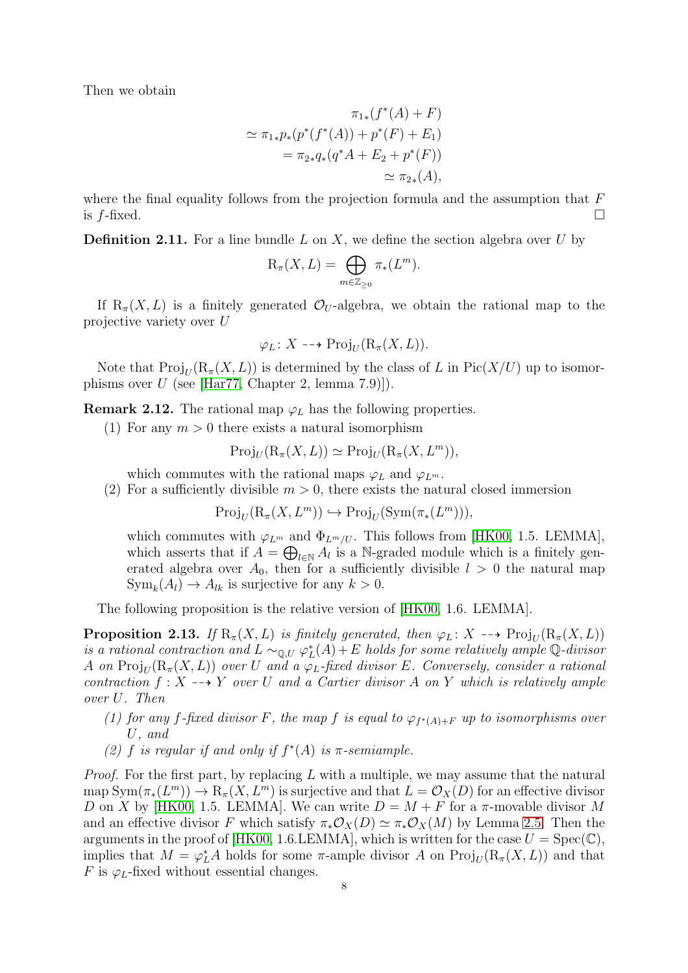Then we obtain

$$
\pi_{1*}(f^*(A) + F)
$$
  
\n
$$
\simeq \pi_{1*}p_*(p^*(f^*(A)) + p^*(F) + E_1)
$$
  
\n
$$
= \pi_{2*}q_*(q^*A + E_2 + p^*(F))
$$
  
\n
$$
\simeq \pi_{2*}(A),
$$

where the final equality follows from the projection formula and the assumption that  $F$ is  $f$ -fixed.  $\Box$ 

**Definition 2.11.** For a line bundle  $L$  on  $X$ , we define the section algebra over  $U$  by

$$
\mathrm{R}_{\pi}(X,L)=\bigoplus_{m\in\mathbb{Z}_{\geq 0}}\pi_*(L^m).
$$

If  $R_{\pi}(X, L)$  is a finitely generated  $\mathcal{O}_U$ -algebra, we obtain the rational map to the projective variety over U

$$
\varphi_L \colon X \dashrightarrow \mathrm{Proj}_U(\mathrm{R}_{\pi}(X,L)).
$$

Note that  $\text{Proj}_U(\text{R}_{\pi}(X,L))$  is determined by the class of L in  $\text{Pic}(X/U)$  up to isomorphisms over  $U$  (see [\[Har77,](#page-27-8) Chapter 2, lemma 7.9]]).

**Remark 2.12.** The rational map  $\varphi_L$  has the following properties.

(1) For any  $m > 0$  there exists a natural isomorphism

$$
\mathrm{Proj}_U(\mathrm{R}_{\pi}(X,L)) \simeq \mathrm{Proj}_U(\mathrm{R}_{\pi}(X,L^m)),
$$

which commutes with the rational maps  $\varphi_L$  and  $\varphi_{L^m}$ .

(2) For a sufficiently divisible  $m > 0$ , there exists the natural closed immersion

$$
\mathrm{Proj}_U(\mathrm{R}_{\pi}(X, L^m)) \hookrightarrow \mathrm{Proj}_U(\mathrm{Sym}(\pi_*(L^m))),
$$

which commutes with  $\varphi_{L^m}$  and  $\Phi_{L^m/U}$ . This follows from [\[HK00,](#page-27-1) 1.5. LEMMA], which asserts that if  $A = \bigoplus_{l \in \mathbb{N}} A_l$  is a N-graded module which is a finitely generated algebra over  $A_0$ , then for a sufficiently divisible  $l > 0$  the natural map  $\text{Sym}_k(A_l) \to A_{lk}$  is surjective for any  $k > 0$ .

The following proposition is the relative version of [\[HK00,](#page-27-1) 1.6. LEMMA].

<span id="page-7-0"></span>**Proposition 2.13.** If  $R_\pi(X, L)$  is finitely generated, then  $\varphi_L \colon X \dashrightarrow \text{Proj}_U (R_\pi(X, L))$ is a rational contraction and  $L \sim_{\mathbb{Q}, U} \varphi_L^*(A) + E$  holds for some relatively ample  $\mathbb{Q}$ -divisor A on  $\operatorname{Proj}_U(\mathrm{R}_\pi(X,L))$  over  $U$  and a  $\varphi_L\text{-fixed divisor }E.$  Conversely, consider a rational contraction  $f: X \dashrightarrow Y$  over U and a Cartier divisor A on Y which is relatively ample over U. Then

- (1) for any f-fixed divisor F, the map f is equal to  $\varphi_{f^*(A)+F}$  up to isomorphisms over U, and
- (2) f is regular if and only if  $f^*(A)$  is  $\pi$ -semiample.

*Proof.* For the first part, by replacing L with a multiple, we may assume that the natural map  $\text{Sym}(\pi_*(L^m)) \to \text{R}_{\pi}(X, L^m)$  is surjective and that  $L = \mathcal{O}_X(D)$  for an effective divisor D on X by [\[HK00,](#page-27-1) 1.5. LEMMA]. We can write  $D = M + F$  for a  $\pi$ -movable divisor M and an effective divisor F which satisfy  $\pi_* \mathcal{O}_X(D) \simeq \pi_* \mathcal{O}_X(M)$  by Lemma [2.5.](#page-4-1) Then the arguments in the proof of [\[HK00,](#page-27-1) 1.6.LEMMA], which is written for the case  $U = \text{Spec}(\mathbb{C}),$ implies that  $M = \varphi_L^* A$  holds for some  $\pi$ -ample divisor A on  $\text{Proj}_U(R_\pi(X, L))$  and that F is  $\varphi_L$ -fixed without essential changes.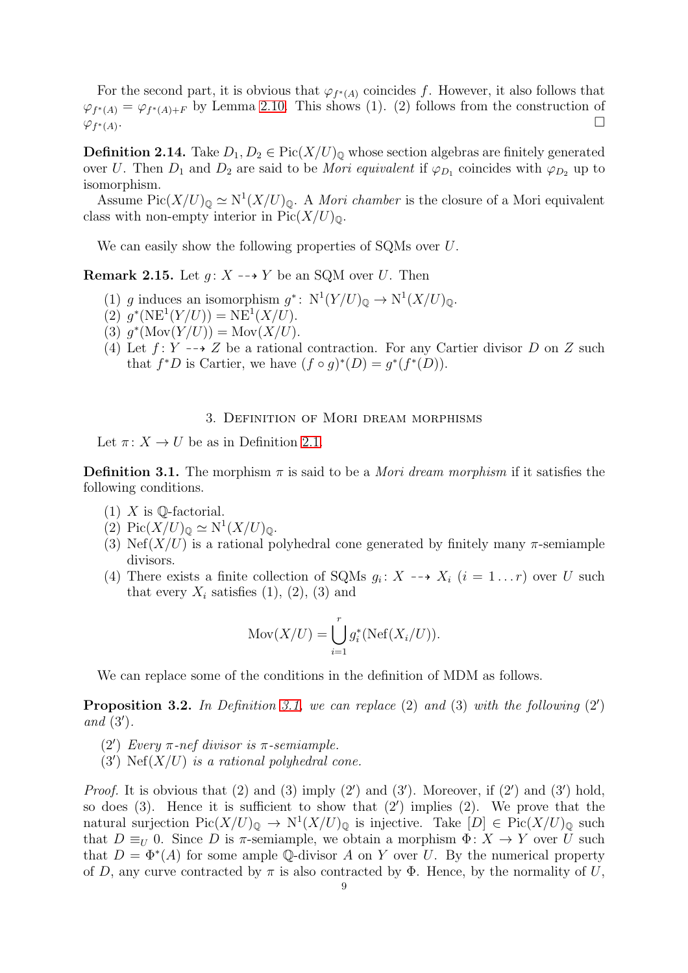For the second part, it is obvious that  $\varphi_{f^*(A)}$  coincides f. However, it also follows that  $\varphi_{f^*(A)} = \varphi_{f^*(A)+F}$  by Lemma [2.10.](#page-6-1) This shows (1). (2) follows from the construction of  $\varphi_{f^*(A)}$ .

**Definition 2.14.** Take  $D_1, D_2 \in Pic(X/U)_{\mathbb{Q}}$  whose section algebras are finitely generated over U. Then  $D_1$  and  $D_2$  are said to be *Mori equivalent* if  $\varphi_{D_1}$  coincides with  $\varphi_{D_2}$  up to isomorphism.

Assume  $Pic(X/U)_{\mathbb{Q}} \simeq N^1(X/U)_{\mathbb{Q}}$ . A *Mori chamber* is the closure of a Mori equivalent class with non-empty interior in  $Pic(X/U)_{\mathbb{Q}}$ .

We can easily show the following properties of SQMs over U.

<span id="page-8-3"></span>**Remark 2.15.** Let  $q: X \dashrightarrow Y$  be an SQM over U. Then

- (1) g induces an isomorphism  $g^*: N^1(Y/U)_{\mathbb{Q}} \to N^1(X/U)_{\mathbb{Q}}$ .
- (2)  $g^*(NE^1(Y/U)) = NE^1(X/U).$
- (3)  $g^*(\text{Mov}(Y/U)) = \text{Mov}(X/U).$
- (4) Let  $f: Y \dashrightarrow Z$  be a rational contraction. For any Cartier divisor D on Z such that  $f^*D$  is Cartier, we have  $(f \circ g)^*(D) = g^*(f^*(D)).$

## 3. Definition of Mori dream morphisms

<span id="page-8-0"></span>Let  $\pi: X \to U$  be as in Definition [2.1.](#page-3-3)

<span id="page-8-1"></span>**Definition 3.1.** The morphism  $\pi$  is said to be a *Mori dream morphism* if it satisfies the following conditions.

- $(1)$  X is Q-factorial.
- (2)  $Pic(X/U)_{\mathbb{Q}} \simeq N^1(X/U)_{\mathbb{Q}}.$
- (3) Nef(X/U) is a rational polyhedral cone generated by finitely many  $\pi$ -semiample divisors.
- (4) There exists a finite collection of SQMs  $g_i: X \dashrightarrow X_i$   $(i = 1...r)$  over U such that every  $X_i$  satisfies  $(1), (2), (3)$  and

$$
Mov(X/U)=\bigcup_{i=1}^r g_i^*(\text{Nef}(X_i/U)).
$$

We can replace some of the conditions in the definition of MDM as follows.

<span id="page-8-2"></span>**Proposition 3.2.** In Definition [3.1,](#page-8-1) we can replace  $(2)$  and  $(3)$  with the following  $(2')$ and (3′ ).

- (2<sup>'</sup>) Every  $π$ -nef divisor is  $π$ -semiample.
- (3') Nef $(X/U)$  is a rational polyhedral cone.

*Proof.* It is obvious that  $(2)$  and  $(3)$  imply  $(2')$  and  $(3')$ . Moreover, if  $(2')$  and  $(3')$  hold, so does (3). Hence it is sufficient to show that (2′ ) implies (2). We prove that the natural surjection  $Pic(X/U)_{\mathbb{Q}} \to N^1(X/U)_{\mathbb{Q}}$  is injective. Take  $[D] \in Pic(X/U)_{\mathbb{Q}}$  such that  $D \equiv_U 0$ . Since D is  $\pi$ -semiample, we obtain a morphism  $\Phi: X \to Y$  over U such that  $D = \Phi^*(A)$  for some ample Q-divisor A on Y over U. By the numerical property of D, any curve contracted by  $\pi$  is also contracted by  $\Phi$ . Hence, by the normality of U,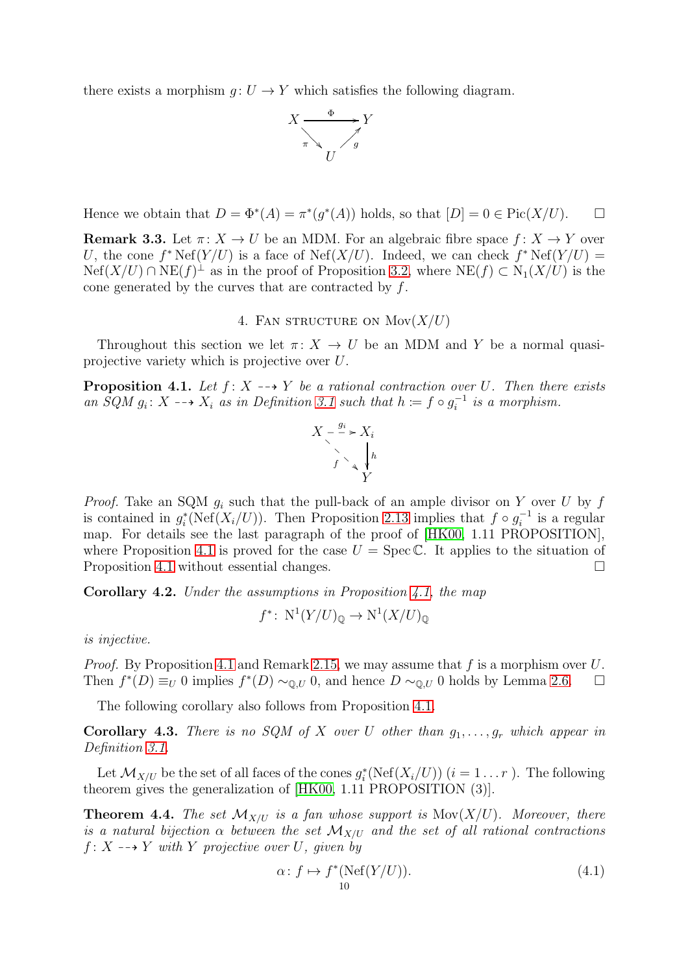there exists a morphism  $q: U \to Y$  which satisfies the following diagram.



Hence we obtain that  $D = \Phi^*(A) = \pi^*(g^*(A))$  holds, so that  $[D] = 0 \in Pic(X/U)$ .  $\Box$ 

<span id="page-9-3"></span>**Remark 3.3.** Let  $\pi: X \to U$  be an MDM. For an algebraic fibre space  $f: X \to Y$  over U, the cone  $f^* \text{Nef}(Y/U)$  is a face of  $\text{Nef}(X/U)$ . Indeed, we can check  $f^* \text{Nef}(Y/U) =$  $Nef(X/U) \cap NE(f)^{\perp}$  as in the proof of Proposition [3.2,](#page-8-2) where  $NE(f) \subset N_1(X/U)$  is the cone generated by the curves that are contracted by  $f$ .

4. FAN STRUCTURE ON  $Mov(X/U)$ 

<span id="page-9-0"></span>Throughout this section we let  $\pi: X \to U$  be an MDM and Y be a normal quasiprojective variety which is projective over U.

<span id="page-9-2"></span>**Proposition 4.1.** Let  $f: X \dashrightarrow Y$  be a rational contraction over U. Then there exists an  $\tilde{SQM}$   $g_i: X \dashrightarrow X_i$  as in Definition [3.1](#page-8-1) such that  $h \coloneqq f \circ g_i^{-1}$  $i^{-1}$  is a morphism.

$$
X - \xrightarrow{g_i} X_i
$$
\n
$$
f \searrow \sqrt{\frac{h}{Y}}
$$

*Proof.* Take an SQM  $g_i$  such that the pull-back of an ample divisor on Y over U by f is contained in  $g_i^*(\text{Nef}(X_i/U))$ . Then Proposition [2.13](#page-7-0) implies that  $f \circ g_i^{-1}$  $i^{-1}$  is a regular map. For details see the last paragraph of the proof of [\[HK00,](#page-27-1) 1.11 PROPOSITION], where Proposition [4.1](#page-9-2) is proved for the case  $U = \text{Spec } \mathbb{C}$ . It applies to the situation of Proposition [4.1](#page-9-2) without essential changes.

<span id="page-9-4"></span>Corollary 4.2. Under the assumptions in Proposition [4.1,](#page-9-2) the map

$$
f^* \colon N^1(Y/U)_{\mathbb{Q}} \to N^1(X/U)_{\mathbb{Q}}
$$

is injective.

*Proof.* By Proposition [4.1](#page-9-2) and Remark [2.15,](#page-8-3) we may assume that f is a morphism over U. Then  $f^*(D) \equiv_U 0$  implies  $f^*(D) \sim_{\mathbb{Q}, U} 0$ , and hence  $D \sim_{\mathbb{Q}, U} 0$  holds by Lemma [2.6.](#page-5-1)  $\Box$ 

The following corollary also follows from Proposition [4.1.](#page-9-2)

**Corollary 4.3.** There is no SQM of X over U other than  $q_1, \ldots, q_r$  which appear in Definition [3.1.](#page-8-1)

Let  $\mathcal{M}_{X/U}$  be the set of all faces of the cones  $g_i^*(\text{Nef}(X_i/U))$   $(i = 1...r)$ . The following theorem gives the generalization of [\[HK00,](#page-27-1) 1.11 PROPOSITION (3)].

<span id="page-9-1"></span>**Theorem 4.4.** The set  $\mathcal{M}_{X/U}$  is a fan whose support is  $\text{Mov}(X/U)$ . Moreover, there is a natural bijection  $\alpha$  between the set  $\mathcal{M}_{X/U}$  and the set of all rational contractions  $f: X \dashrightarrow Y$  with Y projective over U, given by

<span id="page-9-5"></span>
$$
\alpha: f \mapsto f^*(\text{Nef}(Y/U)).\tag{4.1}
$$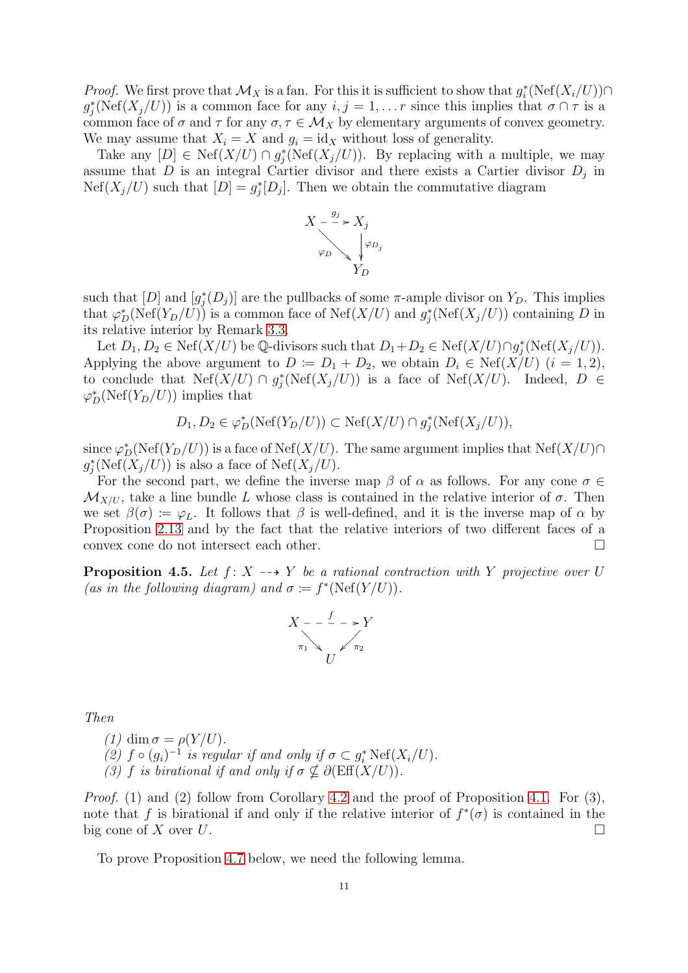*Proof.* We first prove that  $\mathcal{M}_X$  is a fan. For this it is sufficient to show that  $g_i^*(\text{Nef}(X_i/U)) \cap$  $g_j^*(\text{Nef}(X_j/U))$  is a common face for any  $i, j = 1, \ldots r$  since this implies that  $\sigma \cap \tau$  is a common face of  $\sigma$  and  $\tau$  for any  $\sigma, \tau \in \mathcal{M}_X$  by elementary arguments of convex geometry. We may assume that  $X_i = X$  and  $g_i = id_X$  without loss of generality.

Take any  $[D] \in \text{Nef}(X/U) \cap g_j^*(\text{Nef}(X_j/U)).$  By replacing with a multiple, we may assume that D is an integral Cartier divisor and there exists a Cartier divisor  $D_j$  in  $Nef(X_j/U)$  such that  $[D] = g_j^*[D_j]$ . Then we obtain the commutative diagram



such that  $[D]$  and  $[g_j^*(D_j)]$  are the pullbacks of some  $\pi$ -ample divisor on  $Y_D$ . This implies that  $\varphi_D^*(\text{Nef}(Y_D/U))$  is a common face of  $\text{Nef}(X/U)$  and  $g_j^*(\text{Nef}(X_j/U))$  containing D in its relative interior by Remark [3.3.](#page-9-3)

Let  $D_1, D_2 \in \text{Nef}(X/U)$  be Q-divisors such that  $D_1 + D_2 \in \text{Nef}(X/U) \cap g_j^*(\text{Nef}(X_j/U)).$ Applying the above argument to  $D := D_1 + D_2$ , we obtain  $D_i \in \text{Nef}(X/U)$   $(i = 1, 2)$ , to conclude that  $Nef(X/U) \cap g_j^*(Nef(X_j/U))$  is a face of  $Nef(X/U)$ . Indeed,  $D \in$  $\varphi_D^*(\mathrm{Nef}(Y_D/U))$  implies that

$$
D_1, D_2 \in \varphi_D^*(\text{Nef}(Y_D/U)) \subset \text{Nef}(X/U) \cap g_j^*(\text{Nef}(X_j/U)),
$$

since  $\varphi_D^*(\text{Nef}(Y_D/U))$  is a face of  $\text{Nef}(X/U)$ . The same argument implies that  $\text{Nef}(X/U) \cap$  $g_j^*(\text{Nef}(X_j/U))$  is also a face of  $\text{Nef}(X_j/U)$ .

For the second part, we define the inverse map  $\beta$  of  $\alpha$  as follows. For any cone  $\sigma \in$  $\mathcal{M}_{X/U}$ , take a line bundle L whose class is contained in the relative interior of  $\sigma$ . Then we set  $\beta(\sigma) := \varphi_L$ . It follows that  $\beta$  is well-defined, and it is the inverse map of  $\alpha$  by Proposition [2.13](#page-7-0) and by the fact that the relative interiors of two different faces of a convex cone do not intersect each other.

<span id="page-10-0"></span>**Proposition 4.5.** Let  $f: X \dashrightarrow Y$  be a rational contraction with Y projective over U (as in the following diagram) and  $\sigma := f^*(\text{Nef}(Y/U)).$ 

$$
X - \frac{f}{\pi_1} \longrightarrow Y
$$
  

$$
\pi_1 \longrightarrow U
$$

Then

\n- (1) 
$$
\dim \sigma = \rho(Y/U)
$$
.
\n- (2)  $f \circ (g_i)^{-1}$  is regular if and only if  $\sigma \subset g_i^* \text{Nef}(X_i/U)$ .
\n- (3)  $f$  is birational if and only if  $\sigma \nsubseteq \partial(\text{Eff}(X/U))$ .
\n

*Proof.* (1) and (2) follow from Corollary [4.2](#page-9-4) and the proof of Proposition [4.1.](#page-9-2) For (3), note that f is birational if and only if the relative interior of  $f^*(\sigma)$  is contained in the big cone of X over  $U$ .

To prove Proposition [4.7](#page-11-1) below, we need the following lemma.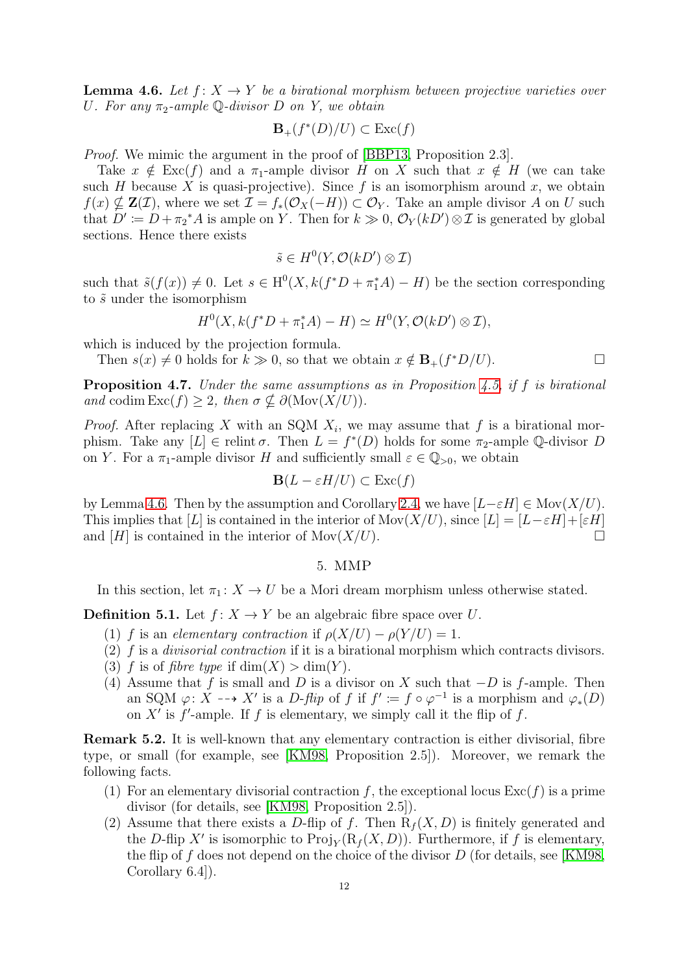<span id="page-11-2"></span>**Lemma 4.6.** Let  $f: X \rightarrow Y$  be a birational morphism between projective varieties over U. For any  $\pi_2$ -ample Q-divisor D on Y, we obtain

$$
\mathbf{B}_+(f^*(D)/U) \subset \operatorname{Exc}(f)
$$

Proof. We mimic the argument in the proof of [\[BBP13,](#page-27-9) Proposition 2.3].

Take  $x \notin \text{Exc}(f)$  and a  $\pi_1$ -ample divisor H on X such that  $x \notin H$  (we can take such H because X is quasi-projective). Since  $f$  is an isomorphism around  $x$ , we obtain  $f(x) \nsubseteq \mathbf{Z}(\mathcal{I})$ , where we set  $\mathcal{I} = f_*(\mathcal{O}_X(-H)) \subset \mathcal{O}_Y$ . Take an ample divisor A on U such that  $D' \coloneqq D + \pi_2^* A$  is ample on Y. Then for  $k \gg 0$ ,  $\mathcal{O}_Y(kD') \otimes \mathcal{I}$  is generated by global sections. Hence there exists

$$
\tilde{s} \in H^0(Y, \mathcal{O}(kD') \otimes \mathcal{I})
$$

such that  $\tilde{s}(f(x)) \neq 0$ . Let  $s \in H^0(X, k(f^*D + \pi_1^*A) - H)$  be the section corresponding to  $\tilde{s}$  under the isomorphism

$$
H^{0}(X, k(f^*D + \pi_1^*A) - H) \simeq H^{0}(Y, \mathcal{O}(kD') \otimes \mathcal{I}),
$$

which is induced by the projection formula.

Then  $s(x) \neq 0$  holds for  $k \gg 0$ , so that we obtain  $x \notin \mathbf{B}_+(f^*D/U)$ .

<span id="page-11-1"></span>Proposition 4.7. Under the same assumptions as in Proposition [4.5,](#page-10-0) if f is birational and codim  $\text{Exc}(f) \geq 2$ , then  $\sigma \notin \partial(\text{Mov}(X/U))$ .

*Proof.* After replacing X with an SQM  $X_i$ , we may assume that f is a birational morphism. Take any  $[L] \in$  relint  $\sigma$ . Then  $L = f^*(D)$  holds for some  $\pi_2$ -ample Q-divisor D on Y. For a  $\pi_1$ -ample divisor H and sufficiently small  $\varepsilon \in \mathbb{Q}_{>0}$ , we obtain

$$
\mathbf{B}(L - \varepsilon H / U) \subset \text{Exc}(f)
$$

by Lemma [4.6.](#page-11-2) Then by the assumption and Corollary [2.4,](#page-4-2) we have  $[L-\varepsilon H] \in \text{Mov}(X/U)$ . This implies that [L] is contained in the interior of Mov( $X/U$ ), since  $[L] = [L - \varepsilon H] + [\varepsilon H]$ and [H] is contained in the interior of  $\text{Mov}(X/U)$ .

# 5. MMP

<span id="page-11-0"></span>In this section, let  $\pi_1 : X \to U$  be a Mori dream morphism unless otherwise stated.

**Definition 5.1.** Let  $f: X \to Y$  be an algebraic fibre space over U.

- (1) f is an elementary contraction if  $\rho(X/U) \rho(Y/U) = 1$ .
- (2)  $f$  is a *divisorial contraction* if it is a birational morphism which contracts divisors.
- (3) f is of fibre type if  $\dim(X) > \dim(Y)$ .
- (4) Assume that f is small and D is a divisor on X such that  $-D$  is f-ample. Then an SQM  $\varphi: X \dashrightarrow X'$  is a D-flip of f if  $f' := f \circ \varphi^{-1}$  is a morphism and  $\varphi_*(D)$ on  $X'$  is  $f'$ -ample. If f is elementary, we simply call it the flip of f.

Remark 5.2. It is well-known that any elementary contraction is either divisorial, fibre type, or small (for example, see [\[KM98,](#page-27-7) Proposition 2.5]). Moreover, we remark the following facts.

- (1) For an elementary divisorial contraction f, the exceptional locus  $\text{Exc}(f)$  is a prime divisor (for details, see [\[KM98,](#page-27-7) Proposition 2.5]).
- (2) Assume that there exists a D-flip of f. Then  $R_f(X, D)$  is finitely generated and the D-flip X' is isomorphic to  $\text{Proj}_Y(R_f(X, D))$ . Furthermore, if f is elementary, the flip of f does not depend on the choice of the divisor  $D$  (for details, see [\[KM98,](#page-27-7) Corollary 6.4]).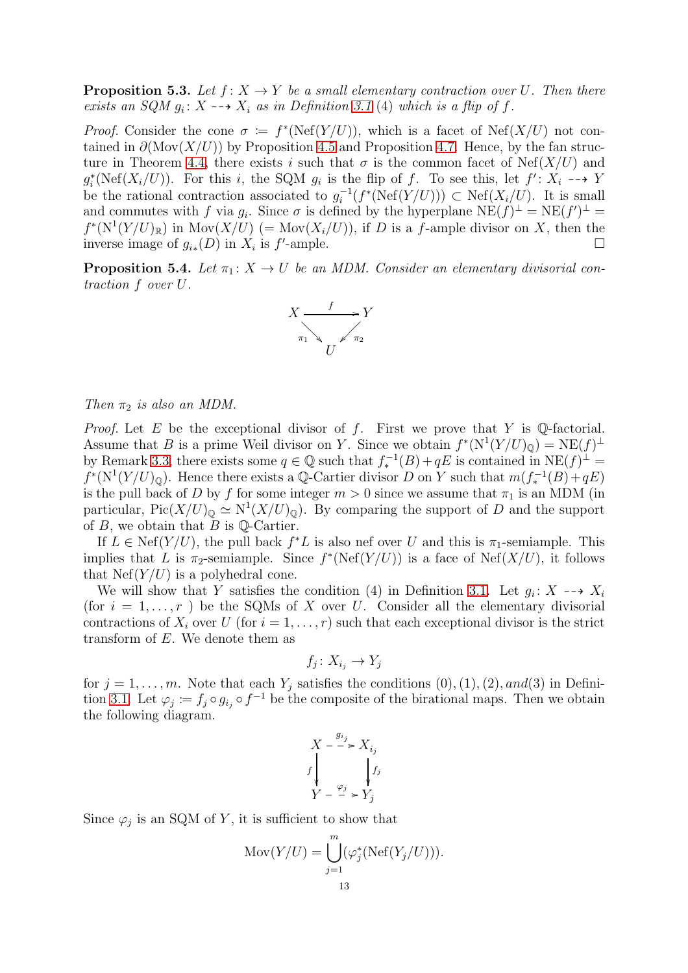<span id="page-12-0"></span>**Proposition 5.3.** Let  $f: X \to Y$  be a small elementary contraction over U. Then there exists an SQM  $g_i: X \dashrightarrow X_i$  as in Definition [3.1](#page-8-1) (4) which is a flip of f.

*Proof.* Consider the cone  $\sigma := f^*(\text{Nef}(Y/U))$ , which is a facet of  $\text{Nef}(X/U)$  not contained in  $\partial(\text{Mov}(X/U))$  by Proposition [4.5](#page-10-0) and Proposition [4.7.](#page-11-1) Hence, by the fan struc-ture in Theorem [4.4,](#page-9-1) there exists i such that  $\sigma$  is the common facet of Nef(X/U) and  $g_i^*(\text{Nef}(X_i/U))$ . For this i, the SQM  $g_i$  is the flip of f. To see this, let  $f' : X_i \dashrightarrow Y$ be the rational contraction associated to  $g_i^{-1}$  $i^{-1}(f^*(\text{Nef}(Y/U))) \subset \text{Nef}(X_i/U)$ . It is small and commutes with f via  $g_i$ . Since  $\sigma$  is defined by the hyperplane  $NE(f)^{\perp} = NE(f')^{\perp} =$  $f^*(N^1(Y/U)_\mathbb{R})$  in  $Mov(X/U)$  (=  $Mov(X_i/U)$ ), if D is a f-ample divisor on X, then the inverse image of  $g_{i*}(D)$  in  $X_i$  is  $f'$ -ample.

<span id="page-12-1"></span>**Proposition 5.4.** Let  $\pi_1: X \to U$  be an MDM. Consider an elementary divisorial contraction f over U.



Then  $\pi_2$  is also an MDM.

*Proof.* Let E be the exceptional divisor of f. First we prove that Y is Q-factorial. Assume that B is a prime Weil divisor on Y. Since we obtain  $f^*(N^1(Y/U)_{\mathbb{Q}}) = N E(f)^{\perp}$ by Remark [3.3,](#page-9-3) there exists some  $q \in \mathbb{Q}$  such that  $f_*^{-1}(B) + qE$  is contained in  $NE(f)^{\perp} =$  $f^*(N^1(Y/U)_{\mathbb{Q}})$ . Hence there exists a  $\mathbb{Q}$ -Cartier divisor D on Y such that  $m(f_*^{-1}(B) + qE)$ is the pull back of D by f for some integer  $m > 0$  since we assume that  $\pi_1$  is an MDM (in particular,  $Pic(X/U)_{\mathbb{Q}} \simeq N^1(X/U)_{\mathbb{Q}})$ . By comparing the support of D and the support of  $B$ , we obtain that  $B$  is  $\mathbb{Q}$ -Cartier.

If  $L \in \text{Nef}(Y/U)$ , the pull back  $f^*L$  is also nef over U and this is  $\pi_1$ -semiample. This implies that L is  $\pi_2$ -semiample. Since  $f^*(\text{Nef}(Y/U))$  is a face of  $\text{Nef}(X/U)$ , it follows that  $Nef(Y/U)$  is a polyhedral cone.

We will show that Y satisfies the condition (4) in Definition [3.1.](#page-8-1) Let  $g_i: X \dashrightarrow X_i$ (for  $i = 1, \ldots, r$ ) be the SQMs of X over U. Consider all the elementary divisorial contractions of  $X_i$  over U (for  $i = 1, \ldots, r$ ) such that each exceptional divisor is the strict transform of E. We denote them as

$$
f_j \colon X_{i_j} \to Y_j
$$

for  $j = 1, \ldots, m$ . Note that each  $Y_j$  satisfies the conditions  $(0), (1), (2), and (3)$  in Defini-tion [3.1.](#page-8-1) Let  $\varphi_j := f_j \circ g_{i_j} \circ f^{-1}$  be the composite of the birational maps. Then we obtain the following diagram.

$$
X \xrightarrow{g_{i_j}} X_{i_j}
$$
  

$$
f \downarrow \qquad f_j
$$
  

$$
Y \xrightarrow{\varphi_j} Y_j
$$

Since  $\varphi_j$  is an SQM of Y, it is sufficient to show that

$$
Mov(Y/U) = \bigcup_{j=1}^{m} (\varphi_j^*(Nef(Y_j/U))).
$$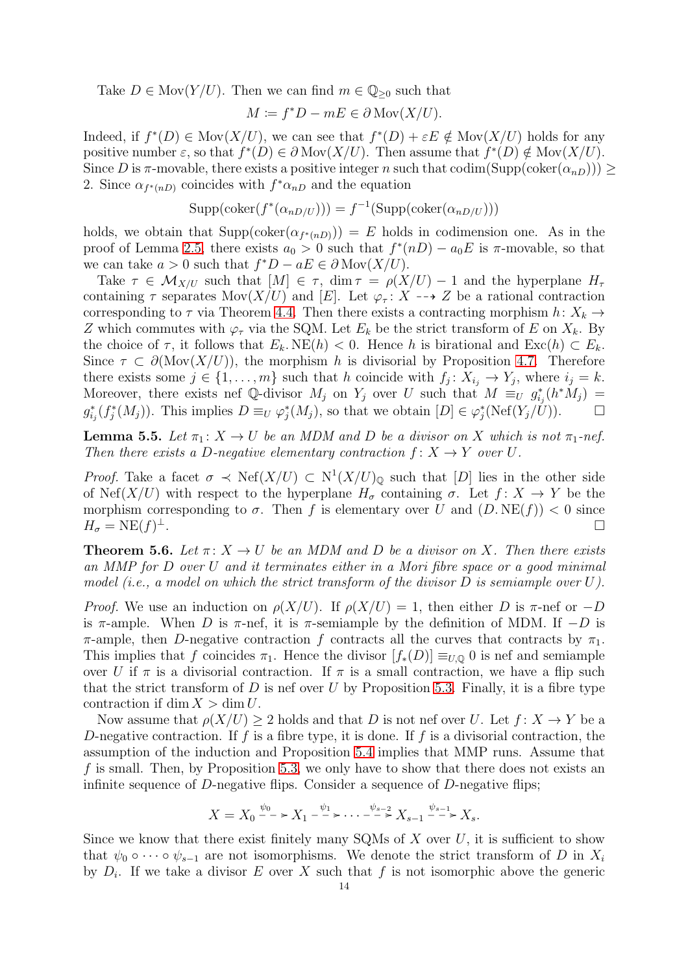Take  $D \in \text{Mov}(Y/U)$ . Then we can find  $m \in \mathbb{Q}_{\geq 0}$  such that

$$
M \coloneqq f^*D - mE \in \partial \operatorname{Mov}(X/U).
$$

Indeed, if  $f^*(D) \in \text{Mov}(X/U)$ , we can see that  $f^*(D) + \varepsilon E \notin \text{Mov}(X/U)$  holds for any positive number  $\varepsilon$ , so that  $f^*(D) \in \partial \text{Mov}(X/U)$ . Then assume that  $f^*(D) \notin \text{Mov}(X/U)$ . Since D is  $\pi$ -movable, there exists a positive integer n such that codim(Supp(coker( $\alpha_{nD}$ )))  $\geq$ 2. Since  $\alpha_{f^*(n)}$  coincides with  $f^*\alpha_{n}$  and the equation

$$
Supp(\mathrm{coker}(f^*(\alpha_{nD/U}))) = f^{-1}(\mathrm{Supp}(\mathrm{coker}(\alpha_{nD/U})))
$$

holds, we obtain that  $\text{Supp}(\text{coker}(\alpha_{f^*(nD)})) = E$  holds in codimension one. As in the proof of Lemma [2.5,](#page-4-1) there exists  $a_0 > 0$  such that  $f^*(nD) - a_0E$  is  $\pi$ -movable, so that we can take  $a > 0$  such that  $f^*D - aE \in \partial \text{Mov}(X/U)$ .

Take  $\tau \in \mathcal{M}_{X/U}$  such that  $[M] \in \tau$ , dim  $\tau = \rho(X/U) - 1$  and the hyperplane  $H_{\tau}$ containing  $\tau$  separates Mov( $X/U$ ) and [E]. Let  $\varphi_{\tau} : X \dashrightarrow Z$  be a rational contraction corresponding to  $\tau$  via Theorem [4.4.](#page-9-1) Then there exists a contracting morphism  $h: X_k \to$ Z which commutes with  $\varphi_{\tau}$  via the SQM. Let  $E_k$  be the strict transform of E on  $X_k$ . By the choice of  $\tau$ , it follows that  $E_k$ . NE(h) < 0. Hence h is birational and Exc(h)  $\subset E_k$ . Since  $\tau \subset \partial(\text{Mov}(X/U))$ , the morphism h is divisorial by Proposition [4.7.](#page-11-1) Therefore there exists some  $j \in \{1, \ldots, m\}$  such that h coincide with  $f_j: X_{i_j} \to Y_j$ , where  $i_j = k$ . Moreover, there exists nef Q-divisor  $M_j$  on  $Y_j$  over U such that  $M \equiv_U g_{i_j}^*(h^*M_j) =$  $g_{i_j}^*(f_j^*(M_j))$ . This implies  $D \equiv_U \varphi_j^*(M_j)$ , so that we obtain  $[D] \in \varphi_j^*(\text{Nef}(Y_j/\mathcal{U}))$ .

**Lemma 5.5.** Let  $\pi_1: X \to U$  be an MDM and D be a divisor on X which is not  $\pi_1$ -nef. Then there exists a D-negative elementary contraction  $f: X \to Y$  over U.

*Proof.* Take a facet  $\sigma \prec \text{Nef}(X/U) \subset \text{N}^1(X/U)_{\mathbb{Q}}$  such that [D] lies in the other side of Nef(X/U) with respect to the hyperplane  $H_{\sigma}$  containing  $\sigma$ . Let  $f: X \to Y$  be the morphism corresponding to  $\sigma$ . Then f is elementary over U and  $(D. NE(f)) < 0$  since  $H_{\sigma} = \text{NE}(f)^{\perp}.$ <sup>⊥</sup>.

<span id="page-13-0"></span>**Theorem 5.6.** Let  $\pi: X \to U$  be an MDM and D be a divisor on X. Then there exists an MMP for D over U and it terminates either in a Mori fibre space or a good minimal model (i.e., a model on which the strict transform of the divisor  $D$  is semiample over  $U$ ).

*Proof.* We use an induction on  $\rho(X/U)$ . If  $\rho(X/U) = 1$ , then either D is  $\pi$ -nef or  $-D$ is  $\pi$ -ample. When D is  $\pi$ -nef, it is  $\pi$ -semiample by the definition of MDM. If  $-D$  is π-ample, then D-negative contraction f contracts all the curves that contracts by  $π_1$ . This implies that f coincides  $\pi_1$ . Hence the divisor  $[f_*(D)] \equiv_{U,Q} 0$  is nef and semiample over U if  $\pi$  is a divisorial contraction. If  $\pi$  is a small contraction, we have a flip such that the strict transform of  $D$  is nef over  $U$  by Proposition [5.3.](#page-12-0) Finally, it is a fibre type contraction if dim  $X > \dim U$ .

Now assume that  $\rho(X/U) \geq 2$  holds and that D is not nef over U. Let  $f: X \to Y$  be a D-negative contraction. If f is a fibre type, it is done. If f is a divisorial contraction, the assumption of the induction and Proposition [5.4](#page-12-1) implies that MMP runs. Assume that f is small. Then, by Proposition [5.3,](#page-12-0) we only have to show that there does not exists an infinite sequence of  $D$ -negative flips. Consider a sequence of  $D$ -negative flips;

$$
X = X_0 \xrightarrow{\psi_0} X_1 \xrightarrow{\psi_1} \cdots \xrightarrow{\psi_{s-2}} X_{s-1} \xrightarrow{\psi_{s-1}} X_s.
$$

Since we know that there exist finitely many SQMs of  $X$  over  $U$ , it is sufficient to show that  $\psi_0 \circ \cdots \circ \psi_{s-1}$  are not isomorphisms. We denote the strict transform of D in  $X_i$ by  $D_i$ . If we take a divisor E over X such that f is not isomorphic above the generic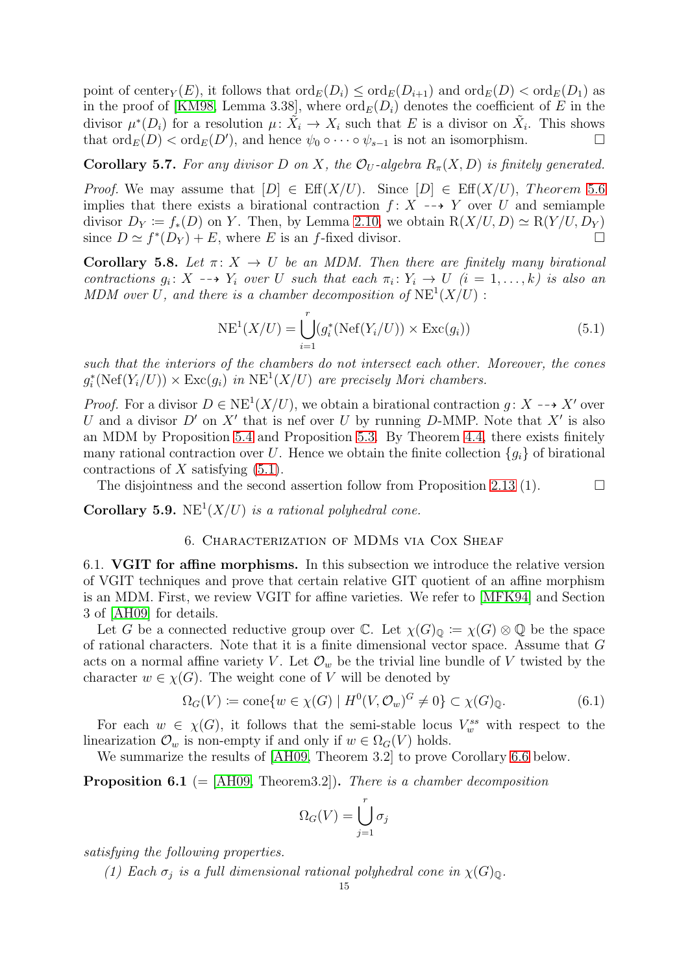point of center<sub>Y</sub>(E), it follows that  $\text{ord}_E(D_i) \leq \text{ord}_E(D_{i+1})$  and  $\text{ord}_E(D) < \text{ord}_E(D_1)$  as in the proof of [\[KM98,](#page-27-7) Lemma 3.38], where  $\text{ord}_E(D_i)$  denotes the coefficient of E in the divisor  $\mu^*(D_i)$  for a resolution  $\mu: \tilde{X}_i \to X_i$  such that E is a divisor on  $\tilde{X}_i$ . This shows that  $\text{ord}_E(D) < \text{ord}_E(D')$ , and hence  $\psi_0 \circ \cdots \circ \psi_{s-1}$  is not an isomorphism.

<span id="page-14-2"></span>**Corollary 5.7.** For any divisor D on X, the  $\mathcal{O}_U$ -algebra  $R_\pi(X, D)$  is finitely generated.

*Proof.* We may assume that  $[D] \in \text{Eff}(X/U)$ . Since  $[D] \in \text{Eff}(X/U)$ , Theorem [5](#page-13-0).6 implies that there exists a birational contraction  $f: X \dashrightarrow Y$  over U and semiample divisor  $D_Y := f_*(D)$  on Y. Then, by Lemma [2.10,](#page-6-1) we obtain  $R(X/U, D) \simeq R(Y/U, D_Y)$ since  $D \simeq f^*(D_Y) + E$ , where E is an f-fixed divisor.

<span id="page-14-3"></span>Corollary 5.8. Let  $\pi: X \to U$  be an MDM. Then there are finitely many birational contractions  $g_i: X \dashrightarrow Y_i$  over U such that each  $\pi_i: Y_i \to U$   $(i = 1, ..., k)$  is also an MDM over U, and there is a chamber decomposition of  $NE<sup>1</sup>(X/U)$ :

<span id="page-14-4"></span>
$$
NE1(X/U) = \bigcup_{i=1}^{r} (g_i^*(\text{Nef}(Y_i/U)) \times \text{Exc}(g_i))
$$
\n(5.1)

such that the interiors of the chambers do not intersect each other. Moreover, the cones  $g_i^*(\text{Nef}(Y_i/U)) \times \text{Exc}(g_i)$  in  $\text{NE}^1(X/U)$  are precisely Mori chambers.

*Proof.* For a divisor  $D \in NE^1(X/U)$ , we obtain a birational contraction  $g: X \dashrightarrow X'$  over U and a divisor  $D'$  on  $X'$  that is nef over U by running D-MMP. Note that  $X'$  is also an MDM by Proposition [5.4](#page-12-1) and Proposition [5.3.](#page-12-0) By Theorem [4.4,](#page-9-1) there exists finitely many rational contraction over U. Hence we obtain the finite collection  ${g_i}$  of birational contractions of  $X$  satisfying  $(5.1)$ .

The disjointness and the second assertion follow from Proposition [2.13](#page-7-0) (1).  $\Box$ 

<span id="page-14-0"></span>**Corollary 5.9.**  $NE<sup>1</sup>(X/U)$  is a rational polyhedral cone.

### 6. Characterization of MDMs via Cox Sheaf

<span id="page-14-1"></span>6.1. VGIT for affine morphisms. In this subsection we introduce the relative version of VGIT techniques and prove that certain relative GIT quotient of an affine morphism is an MDM. First, we review VGIT for affine varieties. We refer to [\[MFK94\]](#page-28-2) and Section 3 of [\[AH09\]](#page-27-10) for details.

Let G be a connected reductive group over C. Let  $\chi(G)_{\mathbb{Q}} := \chi(G) \otimes \mathbb{Q}$  be the space of rational characters. Note that it is a finite dimensional vector space. Assume that G acts on a normal affine variety V. Let  $\mathcal{O}_w$  be the trivial line bundle of V twisted by the character  $w \in \chi(G)$ . The weight cone of V will be denoted by

$$
\Omega_G(V) \coloneqq \text{cone}\{w \in \chi(G) \mid H^0(V, \mathcal{O}_w)^G \neq 0\} \subset \chi(G)_{\mathbb{Q}}.\tag{6.1}
$$

For each  $w \in \chi(G)$ , it follows that the semi-stable locus  $V_w^{ss}$  with respect to the linearization  $\mathcal{O}_w$  is non-empty if and only if  $w \in \Omega$ <sub>G</sub> $(V)$  holds.

We summarize the results of [\[AH09,](#page-27-10) Theorem 3.2] to prove Corollary [6.6](#page-16-1) below.

<span id="page-14-5"></span>**Proposition 6.1** (= [\[AH09,](#page-27-10) Theorem3.2]). There is a chamber decomposition

$$
\Omega_G(V) = \bigcup_{j=1}^r \sigma_j
$$

satisfying the following properties.

(1) Each  $\sigma_j$  is a full dimensional rational polyhedral cone in  $\chi(G)_{\mathbb{Q}}$ .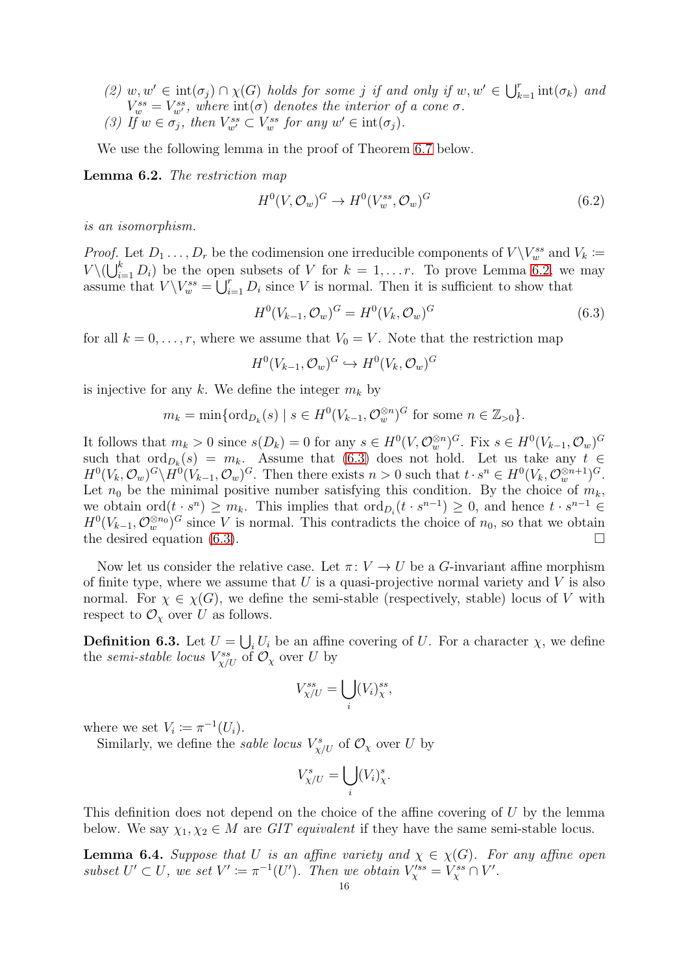(2)  $w, w' \in \text{int}(\sigma_j) \cap \chi(G)$  holds for some j if and only if  $w, w' \in \bigcup_{k=1}^r \text{int}(\sigma_k)$  and  $V_{w}^{ss} = V_{w'}^{ss}$ , where  $\text{int}(\sigma)$  denotes the interior of a cone  $\sigma$ . (3) If  $w \in \sigma_j$ , then  $V^{ss}_{w'} \subset V^{ss}_{w}$  for any  $w' \in \text{int}(\sigma_j)$ .

We use the following lemma in the proof of Theorem [6.7](#page-16-0) below.

<span id="page-15-0"></span>Lemma 6.2. The restriction map

$$
H^0(V, \mathcal{O}_w)^G \to H^0(V_w^{ss}, \mathcal{O}_w)^G
$$
\n
$$
(6.2)
$$

is an isomorphism.

*Proof.* Let  $D_1 \ldots, D_r$  be the codimension one irreducible components of  $V \setminus V_w^{ss}$  and  $V_k \coloneqq$  $V \setminus (\bigcup_{i=1}^k D_i)$  be the open subsets of V for  $k = 1, \ldots r$ . To prove Lemma [6.2,](#page-15-0) we may assume that  $V \setminus V_w^{ss} = \bigcup_{i=1}^r D_i$  since V is normal. Then it is sufficient to show that

<span id="page-15-1"></span>
$$
H^{0}(V_{k-1}, \mathcal{O}_{w})^{G} = H^{0}(V_{k}, \mathcal{O}_{w})^{G}
$$
\n(6.3)

for all  $k = 0, \ldots, r$ , where we assume that  $V_0 = V$ . Note that the restriction map

$$
H^0(V_{k-1}, \mathcal{O}_w)^G \hookrightarrow H^0(V_k, \mathcal{O}_w)^G
$$

is injective for any k. We define the integer  $m_k$  by

$$
m_k = \min\{\text{ord}_{D_k}(s) \mid s \in H^0(V_{k-1}, \mathcal{O}_w^{\otimes n})^G \text{ for some } n \in \mathbb{Z}_{>0}\}.
$$

It follows that  $m_k > 0$  since  $s(D_k) = 0$  for any  $s \in H^0(V, \mathcal{O}_w^{\otimes n})^G$ . Fix  $s \in H^0(V_{k-1}, \mathcal{O}_w)^G$ such that  $\text{ord}_{D_k}(s) = m_k$ . Assume that [\(6.3\)](#page-15-1) does not hold. Let us take any  $t \in$  $H^0(V_k, \mathcal{O}_w)^G \backslash H^0(V_{k-1}, \mathcal{O}_w)^G$ . Then there exists  $n > 0$  such that  $t \cdot s^n \in H^0(V_k, \mathcal{O}_w^{\otimes n+1})^G$ . Let  $n_0$  be the minimal positive number satisfying this condition. By the choice of  $m_k$ , we obtain  $\mathrm{ord}(t \cdot s^n) \geq m_k$ . This implies that  $\mathrm{ord}_{D_i}(t \cdot s^{n-1}) \geq 0$ , and hence  $t \cdot s^{n-1} \in$  $H^0(V_{k-1}, \mathcal{O}_w^{\otimes n_0})^G$  since V is normal. This contradicts the choice of  $n_0$ , so that we obtain the desired equation [\(6.3\)](#page-15-1).

Now let us consider the relative case. Let  $\pi: V \to U$  be a G-invariant affine morphism of finite type, where we assume that  $U$  is a quasi-projective normal variety and  $V$  is also normal. For  $\chi \in \chi(G)$ , we define the semi-stable (respectively, stable) locus of V with respect to  $\mathcal{O}_\chi$  over U as follows.

<span id="page-15-2"></span>**Definition 6.3.** Let  $U = \bigcup_i U_i$  be an affine covering of U. For a character  $\chi$ , we define the *semi-stable locus*  $V^{ss}_{\chi/U}$  of  $\mathcal{O}_{\chi}$  over U by

$$
V_{\chi/U}^{ss} = \bigcup_i (V_i)^{ss}_{\chi},
$$

where we set  $V_i \coloneqq \pi^{-1}(U_i)$ .

Similarly, we define the *sable locus*  $V^s_{\chi/U}$  of  $\mathcal{O}_{\chi}$  over U by

$$
V_{\chi/U}^s = \bigcup_i (V_i)^s_{\chi}.
$$

This definition does not depend on the choice of the affine covering of U by the lemma below. We say  $\chi_1, \chi_2 \in M$  are GIT equivalent if they have the same semi-stable locus.

<span id="page-15-3"></span>**Lemma 6.4.** Suppose that U is an affine variety and  $\chi \in \chi(G)$ . For any affine open subset  $U' \subset U$ , we set  $V' \coloneqq \pi^{-1}(U')$ . Then we obtain  $V_{\chi}^{ss} = V_{\chi}^{ss} \cap V'$ .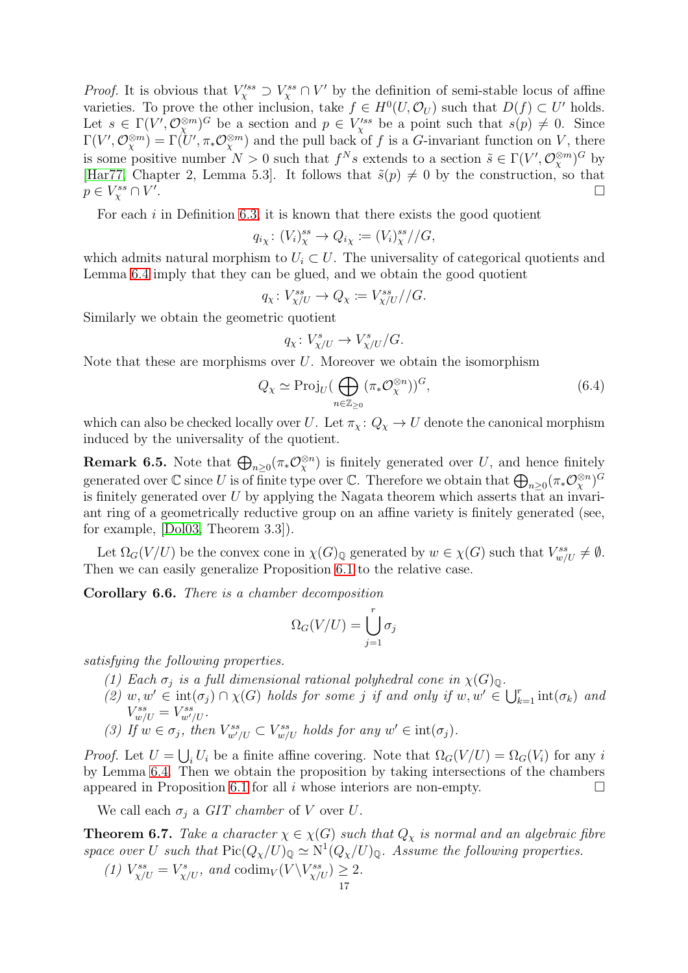*Proof.* It is obvious that  $V_{\chi}^{\prime ss} \supset V_{\chi}^s \cap V'$  by the definition of semi-stable locus of affine varieties. To prove the other inclusion, take  $f \in H^0(U, \mathcal{O}_U)$  such that  $D(f) \subset U'$  holds. Let  $s \in \Gamma(V', \mathcal{O}_{\chi}^{\otimes m})^G$  be a section and  $p \in V_{\chi}^{\prime ss}$  be a point such that  $s(p) \neq 0$ . Since  $\Gamma(V',\mathcal{O}_{\chi}^{\otimes m}) = \Gamma(U',\pi_*\mathcal{O}_{\chi}^{\otimes m})$  and the pull back of f is a G-invariant function on V, there is some positive number  $N > 0$  such that  $f^N s$  extends to a section  $\tilde{s} \in \Gamma(V', \mathcal{O}_{\chi}^{\otimes m})^G$  by [\[Har77,](#page-27-8) Chapter 2, Lemma 5.3]. It follows that  $\tilde{s}(p) \neq 0$  by the construction, so that  $p \in V_{\chi}^{ss} \cap V'$ .

For each  $i$  in Definition [6.3,](#page-15-2) it is known that there exists the good quotient

$$
q_{i\chi} \colon (V_i)^{ss}_{\chi} \to Q_{i\chi} \coloneqq (V_i)^{ss}_{\chi}//G,
$$

which admits natural morphism to  $U_i \subset U$ . The universality of categorical quotients and Lemma [6.4](#page-15-3) imply that they can be glued, and we obtain the good quotient

$$
q_{\chi} \colon V_{\chi/U}^{ss} \to Q_{\chi} \coloneqq V_{\chi/U}^{ss}//G.
$$

Similarly we obtain the geometric quotient

<span id="page-16-3"></span>
$$
q_{\chi} \colon V^s_{\chi/U} \to V^s_{\chi/U}/G.
$$

Note that these are morphisms over  $U$ . Moreover we obtain the isomorphism

$$
Q_{\chi} \simeq \text{Proj}_{U} \left( \bigoplus_{n \in \mathbb{Z}_{\geq 0}} (\pi_{*} \mathcal{O}_{\chi}^{\otimes n}) \right)^{G}, \tag{6.4}
$$

which can also be checked locally over U. Let  $\pi_{\chi}: Q_{\chi} \to U$  denote the canonical morphism induced by the universality of the quotient.

<span id="page-16-2"></span>**Remark 6.5.** Note that  $\bigoplus_{n\geq 0} (\pi_* \mathcal{O}_{\chi}^{\otimes n})$  is finitely generated over U, and hence finitely generated over  $\mathbb C$  since U is of finite type over  $\mathbb C$ . Therefore we obtain that  $\bigoplus_{n\geq 0} (\pi_* \mathcal O_{\chi}^{\otimes n})^G$ is finitely generated over  $U$  by applying the Nagata theorem which asserts that an invariant ring of a geometrically reductive group on an affine variety is finitely generated (see, for example, [\[Dol03,](#page-27-11) Theorem 3.3]).

Let  $\Omega_G(V/U)$  be the convex cone in  $\chi(G)_{\mathbb{Q}}$  generated by  $w \in \chi(G)$  such that  $V^{ss}_{w/U} \neq \emptyset$ . Then we can easily generalize Proposition [6.1](#page-14-5) to the relative case.

<span id="page-16-1"></span>Corollary 6.6. There is a chamber decomposition

$$
\Omega_G(V/U) = \bigcup_{j=1}^r \sigma_j
$$

satisfying the following properties.

- (1) Each  $\sigma_j$  is a full dimensional rational polyhedral cone in  $\chi(G)_{\mathbb{Q}}$ .
- (2)  $w, w' \in \text{int}(\sigma_j) \cap \chi(G)$  holds for some j if and only if  $w, w' \in \bigcup_{k=1}^r \text{int}(\sigma_k)$  and  $V^{ss}_{w/U} = V^{ss}_{w'/U}.$
- (3) If  $w \in \sigma_j$ , then  $V^{ss}_{w'/U} \subset V^{ss}_{w/U}$  holds for any  $w' \in \text{int}(\sigma_j)$ .

*Proof.* Let  $U = \bigcup_i U_i$  be a finite affine covering. Note that  $\Omega_G(V/U) = \Omega_G(V_i)$  for any i by Lemma [6.4.](#page-15-3) Then we obtain the proposition by taking intersections of the chambers appeared in Proposition [6.1](#page-14-5) for all i whose interiors are non-empty.  $\Box$ 

We call each  $\sigma_i$  a GIT chamber of V over U.

<span id="page-16-0"></span>**Theorem 6.7.** Take a character  $\chi \in \chi(G)$  such that  $Q_\chi$  is normal and an algebraic fibre space over U such that  $Pic(Q_{\chi}/U)_{\mathbb{Q}} \simeq N^1(Q_{\chi}/U)_{\mathbb{Q}}$ . Assume the following properties.

(1)  $V^{ss}_{\chi/U} = V^s_{\chi/U}$ , and  $\text{codim}_V(V \backslash V^{ss}_{\chi/U}) \geq 2$ .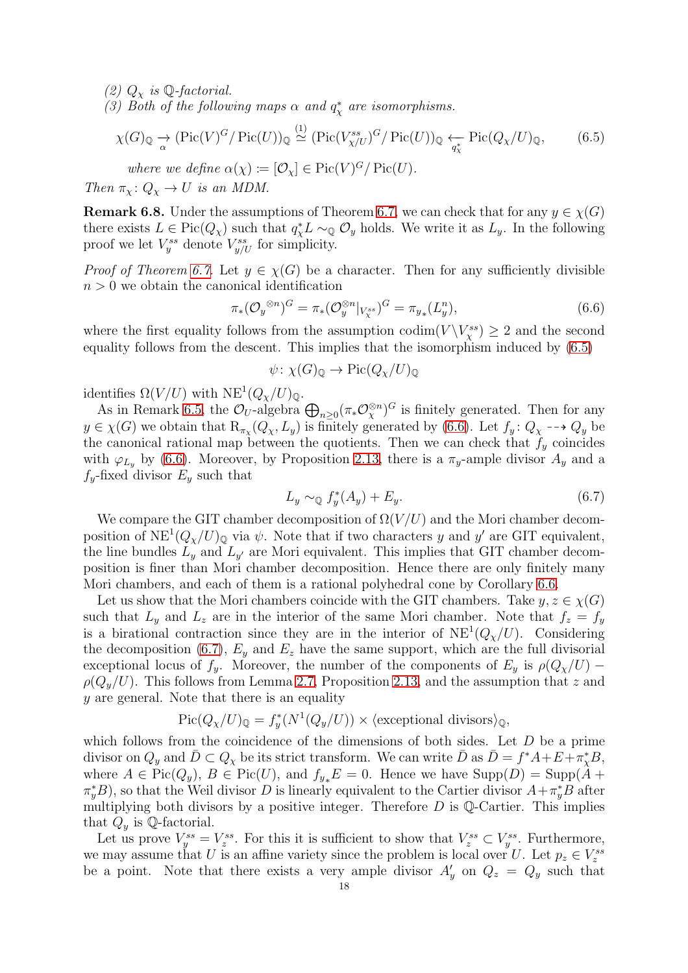(2)  $Q_\chi$  is Q-factorial.

(3) Both of the following maps  $\alpha$  and  $q^*_{\chi}$  are isomorphisms.

$$
\chi(G)_{\mathbb{Q}} \xrightarrow[\alpha]{\sim} (\text{Pic}(V)^G/\text{Pic}(U))_{\mathbb{Q}} \stackrel{(1)}{\simeq} (\text{Pic}(V_{\chi/U}^{ss})^G/\text{Pic}(U))_{\mathbb{Q}} \xleftarrow[\text{G}(\text{C}_{\chi}/U)_{\mathbb{Q}},\tag{6.5}
$$

where we define  $\alpha(\chi) \coloneqq [\mathcal{O}_{\chi}] \in \text{Pic}(V)^G / \text{Pic}(U)$ .

Then  $\pi_{\chi}: Q_{\chi} \to U$  is an MDM.

**Remark 6.8.** Under the assumptions of Theorem [6.7,](#page-16-0) we can check that for any  $y \in \chi(G)$ there exists  $L \in Pic(Q_{\chi})$  such that  $q_{\chi}^* L \sim_{\mathbb{Q}} \mathcal{O}_y$  holds. We write it as  $L_y$ . In the following proof we let  $V_j^{ss}$  denote  $V_{y/U}^{ss}$  for simplicity.

*Proof of Theorem [6.7.](#page-16-0)* Let  $y \in \chi(G)$  be a character. Then for any sufficiently divisible  $n > 0$  we obtain the canonical identification

<span id="page-17-0"></span>
$$
\pi_*(\mathcal{O}_y^{\otimes n})^G = \pi_*(\mathcal{O}_y^{\otimes n}|_{V^{ss}_\chi})^G = \pi_{y_*}(L_y^n),
$$
\n(6.6)

where the first equality follows from the assumption  $\text{codim}(V \setminus V^{ss}_{\chi}) \geq 2$  and the second equality follows from the descent. This implies that the isomorphism induced by [\(6.5\)](#page-17-0)

<span id="page-17-1"></span>
$$
\psi \colon \chi(G)_{\mathbb{Q}} \to \mathrm{Pic}(Q_{\chi}/U)_{\mathbb{Q}}
$$

identifies  $\Omega(V/U)$  with  $NE^{1}(Q_{\chi}/U)_{\mathbb{Q}}$ .

As in Remark [6.5,](#page-16-2) the  $\mathcal{O}_U$ -algebra  $\bigoplus_{n\geq 0} (\pi_* \mathcal{O}_{\chi}^{\otimes n})^G$  is finitely generated. Then for any  $y \in \chi(G)$  we obtain that  $\mathrm{R}_{\pi_\chi}(Q_\chi, L_y)$  is finitely generated by [\(6.6\)](#page-17-1). Let  $f_y: Q_\chi \dashrightarrow Q_y$  be the canonical rational map between the quotients. Then we can check that  $f_y$  coincides with  $\varphi_{L_y}$  by [\(6.6\)](#page-17-1). Moreover, by Proposition [2.13,](#page-7-0) there is a  $\pi_y$ -ample divisor  $A_y$  and a  $f_y$ -fixed divisor  $E_y$  such that

<span id="page-17-2"></span>
$$
L_y \sim_{\mathbb{Q}} f_y^*(A_y) + E_y. \tag{6.7}
$$

We compare the GIT chamber decomposition of  $\Omega(V/U)$  and the Mori chamber decomposition of  $NE^{1}(Q_{\chi}/U)_{\mathbb{Q}}$  via  $\psi$ . Note that if two characters y and y' are GIT equivalent, the line bundles  $L_y$  and  $L_{y'}$  are Mori equivalent. This implies that GIT chamber decomposition is finer than Mori chamber decomposition. Hence there are only finitely many Mori chambers, and each of them is a rational polyhedral cone by Corollary [6.6.](#page-16-1)

Let us show that the Mori chambers coincide with the GIT chambers. Take  $y, z \in \chi(G)$ such that  $L_y$  and  $L_z$  are in the interior of the same Mori chamber. Note that  $f_z = f_y$ is a birational contraction since they are in the interior of  $NE^{1}(Q_{\chi}/U)$ . Considering the decomposition [\(6.7\)](#page-17-2),  $E_y$  and  $E_z$  have the same support, which are the full divisorial exceptional locus of  $f_y$ . Moreover, the number of the components of  $E_y$  is  $\rho(Q_x/U)$  –  $\rho(Q_y/U)$ . This follows from Lemma [2.7,](#page-5-2) Proposition [2.13,](#page-7-0) and the assumption that z and y are general. Note that there is an equality

$$
Pic(Q_{\chi}/U)_{\mathbb{Q}} = f_{y}^{*}(N^{1}(Q_{y}/U)) \times \langle \text{exceptional divisors} \rangle_{\mathbb{Q}},
$$

which follows from the coincidence of the dimensions of both sides. Let  $D$  be a prime divisor on  $Q_y$  and  $\bar{D} \subset Q_\chi$  be its strict transform. We can write  $\bar{D}$  as  $\bar{D} = f^*A + \bar{E} + \bar{n}^*_{\chi}B$ , where  $A \in Pic(Q_y)$ ,  $B \in Pic(U)$ , and  $f_{y*}E = 0$ . Hence we have  $Supp(D) = Supp(A +$  $(\pi_y^*B)$ , so that the Weil divisor D is linearly equivalent to the Cartier divisor  $A + \pi_y^*B$  after multiplying both divisors by a positive integer. Therefore  $D$  is  $\mathbb Q$ -Cartier. This implies that  $Q_y$  is Q-factorial.

Let us prove  $V_j^{ss} = V_z^{ss}$ . For this it is sufficient to show that  $V_z^{ss} \subset V_y^{ss}$ . Furthermore, we may assume that U is an affine variety since the problem is local over U. Let  $p_z \in V_z^{ss}$ be a point. Note that there exists a very ample divisor  $A'_y$  on  $Q_z = Q_y$  such that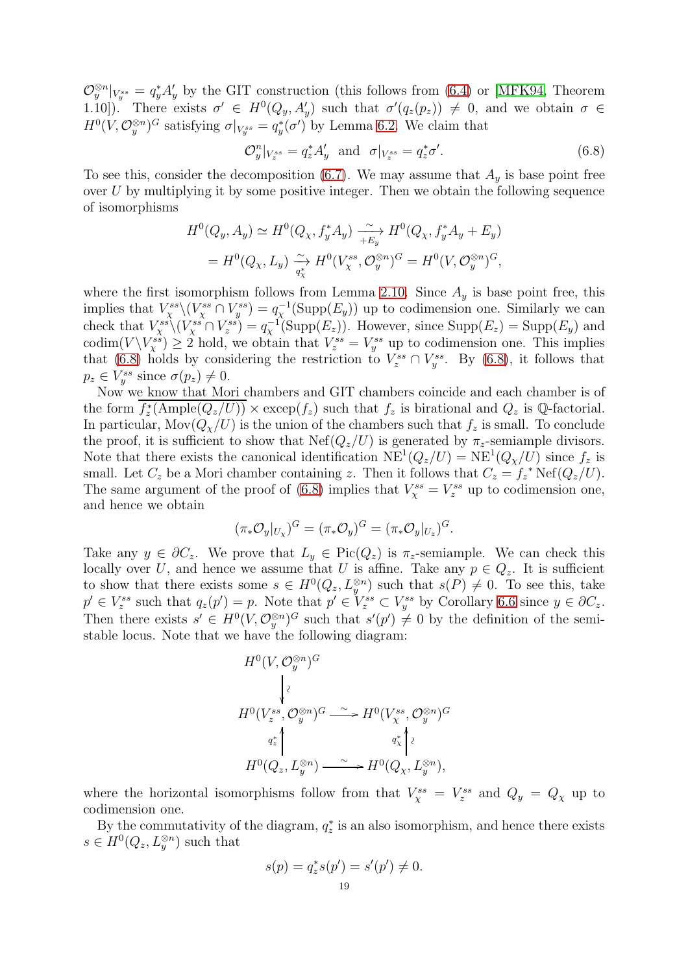$\mathcal{O}_y^{\otimes n}|_{V_y^{ss}} = q_y^* A_y'$  by the GIT construction (this follows from [\(6.4\)](#page-16-3) or [\[MFK94,](#page-28-2) Theorem 1.10]). There exists  $\sigma' \in H^0(Q_y, A'_y)$  such that  $\sigma'(q_z(p_z)) \neq 0$ , and we obtain  $\sigma \in$  $H^0(V, \mathcal{O}_y^{\otimes n})^G$  satisfying  $\sigma|_{V_y^{ss}} = q_y^*(\sigma')$  by Lemma [6.2.](#page-15-0) We claim that

<span id="page-18-0"></span>
$$
\mathcal{O}_y^n|_{V_z^{ss}} = q_z^* A_y' \quad \text{and} \quad \sigma|_{V_z^{ss}} = q_z^* \sigma'. \tag{6.8}
$$

To see this, consider the decomposition [\(6.7\)](#page-17-2). We may assume that  $A<sub>y</sub>$  is base point free over  $U$  by multiplying it by some positive integer. Then we obtain the following sequence of isomorphisms

$$
H^0(Q_y, A_y) \simeq H^0(Q_\chi, f_y^* A_y) \xrightarrow[+E_y]{} H^0(Q_\chi, f_y^* A_y + E_y)
$$
  
=  $H^0(Q_\chi, L_y) \xrightarrow[\sigma_X^*]{} H^0(V_X^{ss}, \mathcal{O}_y^{\otimes n})^G = H^0(V, \mathcal{O}_y^{\otimes n})^G,$ 

where the first isomorphism follows from Lemma [2.10.](#page-6-1) Since  $A_y$  is base point free, this implies that  $V^{ss}_{\chi}(V^{ss}_{\chi} \cap V^{ss}_{y}) = q_{\chi}^{-1}(\text{Supp}(E_y))$  up to codimension one. Similarly we can check that  $V^{ss}_{\chi}(V^{ss}_{\chi} \cap V^{ss}_{z}) = q_{\chi}^{-1}(\text{Supp}(E_z))$ . However, since  $\text{Supp}(E_z) = \text{Supp}(E_y)$  and codim $(V\backslash V_x^{ss})\geq 2$  hold, we obtain that  $V_z^{ss}=V_y^{ss}$  up to codimension one. This implies that [\(6.8\)](#page-18-0) holds by considering the restriction to  $V_z^{ss} \cap V_y^{ss}$ . By (6.8), it follows that  $p_z \in V_y^{ss}$  since  $\sigma(p_z) \neq 0$ .

Now we know that Mori chambers and GIT chambers coincide and each chamber is of the form  $f_z^*(\text{Ample}(Q_z/U)) \times \text{excep}(f_z)$  such that  $f_z$  is birational and  $Q_z$  is Q-factorial. In particular,  $\text{Mov}(Q_{\chi}/U)$  is the union of the chambers such that  $f_z$  is small. To conclude the proof, it is sufficient to show that  $Nef(Q_z/U)$  is generated by  $\pi_z$ -semiample divisors. Note that there exists the canonical identification  $NE^{1}(Q_{z}/U) = NE^{1}(Q_{\chi}/U)$  since  $f_{z}$  is small. Let  $C_z$  be a Mori chamber containing z. Then it follows that  $C_z = f_z^*$  Nef $(Q_z/U)$ . The same argument of the proof of [\(6.8\)](#page-18-0) implies that  $V_{\chi}^{ss} = V_z^{ss}$  up to codimension one, and hence we obtain

$$
(\pi_* \mathcal{O}_y|_{U_\chi})^G = (\pi_* \mathcal{O}_y)^G = (\pi_* \mathcal{O}_y|_{U_z})^G.
$$

Take any  $y \in \partial C_z$ . We prove that  $L_y \in Pic(Q_z)$  is  $\pi_z$ -semiample. We can check this locally over U, and hence we assume that U is affine. Take any  $p \in Q_z$ . It is sufficient to show that there exists some  $s \in H^0(Q_z, L_y^{\otimes n})$  such that  $s(P) \neq 0$ . To see this, take  $p' \in V_z^{ss}$  such that  $q_z(p') = p$ . Note that  $p' \in V_z^{ss} \subset V_y^{ss}$  by Corollary [6.6](#page-16-1) since  $y \in \partial C_z$ . Then there exists  $s' \in H^0(V, \mathcal{O}_{y}^{\otimes n})^G$  such that  $s'(p') \neq 0$  by the definition of the semistable locus. Note that we have the following diagram:

$$
\begin{aligned} &H^0(V,\mathcal{O}_y^{\otimes n})^G\\ &\Bigg\vert^{\wr}\;\\ &H^0(V_z^{ss},\mathcal{O}_y^{\otimes n})^G\stackrel{\sim}{\longrightarrow}H^0(V_\chi^{ss},\mathcal{O}_y^{\otimes n})^G\\ &\left.\begin{array}{c}q_z^*\\\ H^0(Q_z,L_y^{\otimes n})\stackrel{\sim}{\longrightarrow}H^0(Q_\chi,L_y^{\otimes n}),\end{array}\right.\\ \end{aligned}
$$

where the horizontal isomorphisms follow from that  $V_{\chi}^{ss} = V_z^{ss}$  and  $Q_y = Q_{\chi}$  up to codimension one.

By the commutativity of the diagram,  $q_z^*$  is an also isomorphism, and hence there exists  $s \in H^0(Q_z, L_y^{\otimes n})$  such that

$$
s(p) = q_z^* s(p') = s'(p') \neq 0.
$$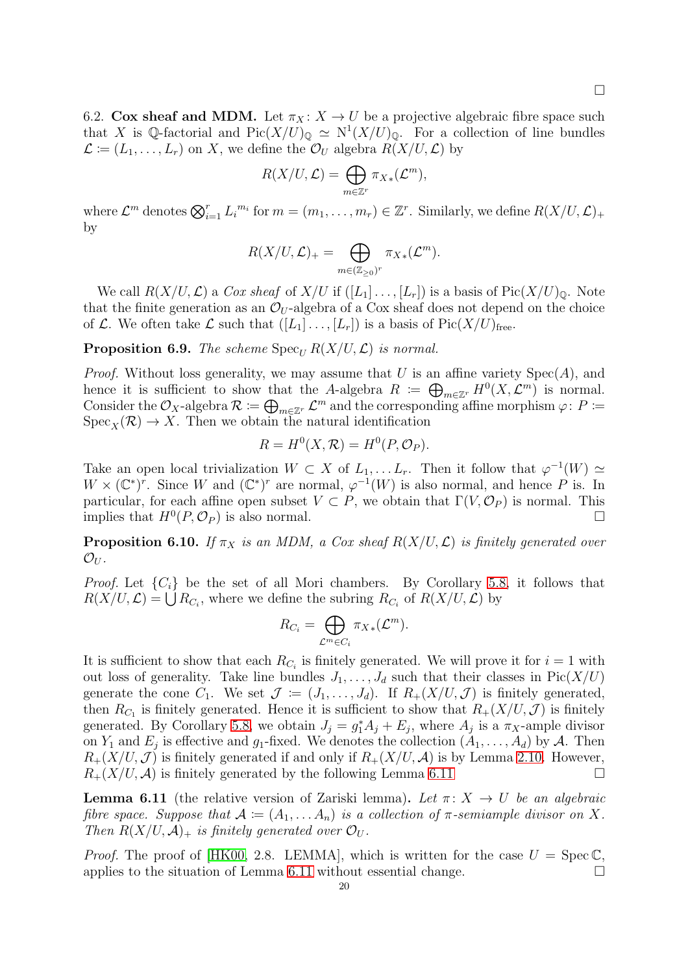<span id="page-19-0"></span>6.2. Cox sheaf and MDM. Let  $\pi_X : X \to U$  be a projective algebraic fibre space such that X is Q-factorial and  $Pic(X/U)_{\mathbb{Q}} \simeq N^1(X/U)_{\mathbb{Q}}$ . For a collection of line bundles  $\mathcal{L} \coloneqq (L_1, \ldots, L_r)$  on X, we define the  $\mathcal{O}_U$  algebra  $R(X/U, \mathcal{L})$  by

$$
R(X/U,\mathcal{L})=\bigoplus_{m\in\mathbb{Z}^r}\pi_{X*}(\mathcal{L}^m),
$$

where  $\mathcal{L}^m$  denotes  $\bigotimes_{i=1}^r L_i^{m_i}$  for  $m = (m_1, \ldots, m_r) \in \mathbb{Z}^r$ . Similarly, we define  $R(X/U, \mathcal{L})_+$ by

$$
R(X/U,\mathcal{L})_{+} = \bigoplus_{m \in (\mathbb{Z}_{\geq 0})^r} \pi_{X*}(\mathcal{L}^m).
$$

We call  $R(X/U, \mathcal{L})$  a Cox sheaf of  $X/U$  if  $([L_1] \ldots, [L_r])$  is a basis of  $Pic(X/U)_{\mathbb{Q}}$ . Note that the finite generation as an  $\mathcal{O}_U$ -algebra of a Cox sheaf does not depend on the choice of L. We often take L such that  $([L_1] \ldots, [L_r])$  is a basis of  $Pic(X/U)_{free}$ .

**Proposition 6.9.** The scheme  $\text{Spec}_{U} R(X/U, \mathcal{L})$  is normal.

*Proof.* Without loss generality, we may assume that U is an affine variety  $Spec(A)$ , and hence it is sufficient to show that the A-algebra  $R := \bigoplus_{m \in \mathbb{Z}^r} H^0(X, \mathcal{L}^m)$  is normal. Consider the  $\mathcal{O}_X$ -algebra  $\mathcal{R} := \bigoplus_{m \in \mathbb{Z}^r} \mathcal{L}^m$  and the corresponding affine morphism  $\varphi \colon P :=$  $Spec_X(\mathcal{R}) \to X$ . Then we obtain the natural identification

$$
R = H^{0}(X, \mathcal{R}) = H^{0}(P, \mathcal{O}_{P}).
$$

Take an open local trivialization  $W \subset X$  of  $L_1, \ldots, L_r$ . Then it follow that  $\varphi^{-1}(W) \simeq$  $W \times (\mathbb{C}^*)^r$ . Since W and  $(\mathbb{C}^*)^r$  are normal,  $\varphi^{-1}(W)$  is also normal, and hence P is. In particular, for each affine open subset  $V \subset P$ , we obtain that  $\Gamma(V, \mathcal{O}_P)$  is normal. This implies that  $H^0(P, \mathcal{O}_P)$  is also normal.

<span id="page-19-1"></span>**Proposition 6.10.** If  $\pi_X$  is an MDM, a Cox sheaf  $R(X/U, \mathcal{L})$  is finitely generated over  $\mathcal{O}_U$  .

*Proof.* Let  $\{C_i\}$  be the set of all Mori chambers. By Corollary [5.8,](#page-14-3) it follows that  $R(X/U, \mathcal{L}) = \bigcup_{i=1}^{N} R_{C_i}$ , where we define the subring  $R_{C_i}$  of  $R(X/U, \mathcal{L})$  by

$$
R_{C_i} = \bigoplus_{\mathcal{L}^m \in C_i} \pi_{X*}(\mathcal{L}^m).
$$

It is sufficient to show that each  $R_{C_i}$  is finitely generated. We will prove it for  $i = 1$  with out loss of generality. Take line bundles  $J_1, \ldots, J_d$  such that their classes in Pic $(X/U)$ generate the cone  $C_1$ . We set  $\mathcal{J} := (J_1, \ldots, J_d)$ . If  $R_+(X/U, \mathcal{J})$  is finitely generated, then  $R_{C_1}$  is finitely generated. Hence it is sufficient to show that  $R_+(X/U, \mathcal{J})$  is finitely generated. By Corollary [5.8,](#page-14-3) we obtain  $J_j = g_1^* A_j + E_j$ , where  $A_j$  is a  $\pi_X$ -ample divisor on  $Y_1$  and  $E_j$  is effective and  $g_1$ -fixed. We denotes the collection  $(A_1, \ldots, A_d)$  by A. Then  $R_{+}(X/U, \mathcal{J})$  is finitely generated if and only if  $R_{+}(X/U, \mathcal{A})$  is by Lemma [2.10.](#page-6-1) However,  $R_+(X/U, \mathcal{A})$  is finitely generated by the following Lemma [6.11](#page-19-2)

<span id="page-19-2"></span>**Lemma 6.11** (the relative version of Zariski lemma). Let  $\pi: X \to U$  be an algebraic fibre space. Suppose that  $A := (A_1, \ldots, A_n)$  is a collection of  $\pi$ -semiample divisor on X. Then  $R(X/U, \mathcal{A})_+$  is finitely generated over  $\mathcal{O}_U$ .

*Proof.* The proof of [\[HK00,](#page-27-1) 2.8. LEMMA], which is written for the case  $U = \text{Spec } \mathbb{C}$ , applies to the situation of Lemma [6.11](#page-19-2) without essential change.  $\Box$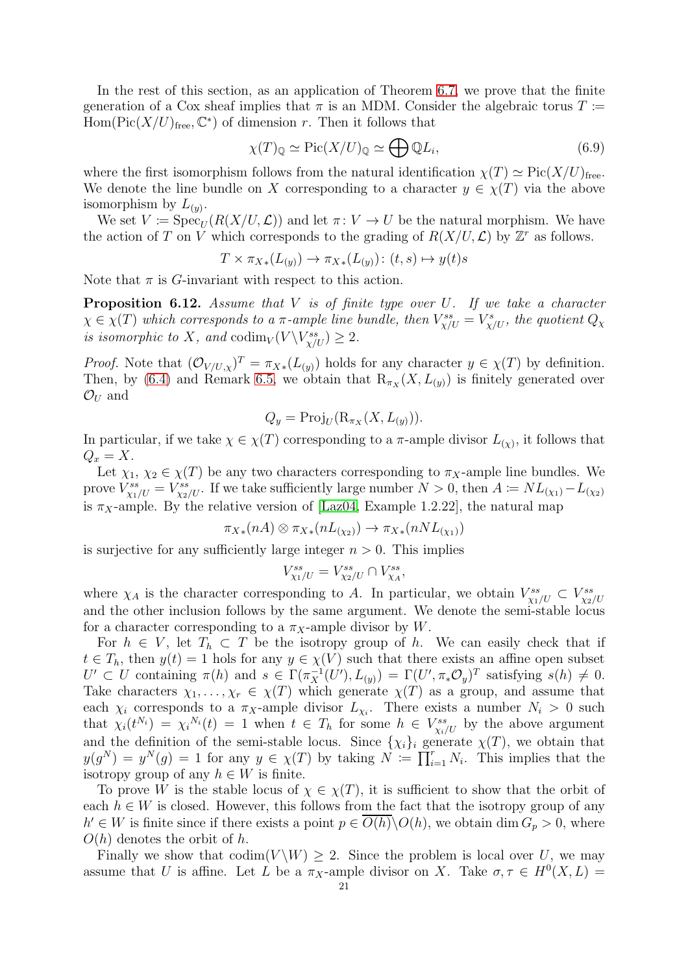In the rest of this section, as an application of Theorem [6.7,](#page-16-0) we prove that the finite generation of a Cox sheaf implies that  $\pi$  is an MDM. Consider the algebraic torus  $T =$  $Hom(Pic(X/U)<sub>free</sub>, \mathbb{C}^*)$  of dimension r. Then it follows that

<span id="page-20-1"></span>
$$
\chi(T)_{\mathbb{Q}} \simeq \text{Pic}(X/U)_{\mathbb{Q}} \simeq \bigoplus \mathbb{Q}L_i,\tag{6.9}
$$

where the first isomorphism follows from the natural identification  $\chi(T) \simeq Pic(X/U)_{\text{free}}$ . We denote the line bundle on X corresponding to a character  $y \in \chi(T)$  via the above isomorphism by  $L_{(y)}$ .

We set  $V := \text{Spec}_{U}(R(X/U, \mathcal{L}))$  and let  $\pi: V \to U$  be the natural morphism. We have the action of T on V which corresponds to the grading of  $R(X/U, \mathcal{L})$  by  $\mathbb{Z}^r$  as follows.

$$
T \times \pi_{X*}(L_{(y)}) \to \pi_{X*}(L_{(y)}) \colon (t,s) \mapsto y(t)s
$$

Note that  $\pi$  is G-invariant with respect to this action.

<span id="page-20-0"></span>**Proposition 6.12.** Assume that  $V$  is of finite type over  $U$ . If we take a character  $\chi \in \chi(T)$  which corresponds to a  $\pi$ -ample line bundle, then  $V^{ss}_{\chi/U} = V^{s}_{\chi/U}$ , the quotient  $Q_{\chi}$ is isomorphic to X, and  $\text{codim}_V(V \backslash V^{ss}_{\chi/U}) \geq 2$ .

*Proof.* Note that  $(\mathcal{O}_{V/U,\chi})^T = \pi_{X*}(L_{(y)})$  holds for any character  $y \in \chi(T)$  by definition. Then, by [\(6.4\)](#page-16-3) and Remark [6.5,](#page-16-2) we obtain that  $R_{\pi_X}(X, L_{(y)})$  is finitely generated over  $\mathcal{O}_U$  and

$$
Q_y = \text{Proj}_U(\mathrm{R}_{\pi_X}(X, L_{(y)})).
$$

In particular, if we take  $\chi \in \chi(T)$  corresponding to a  $\pi$ -ample divisor  $L_{(\chi)}$ , it follows that  $Q_x = X$ .

Let  $\chi_1, \chi_2 \in \chi(T)$  be any two characters corresponding to  $\pi_X$ -ample line bundles. We prove  $V_{\chi_1/U}^{ss} = V_{\chi_2/U}^{ss}$ . If we take sufficiently large number  $N > 0$ , then  $A \coloneqq NL_{(\chi_1)} - L_{(\chi_2)}$ is  $\pi_X$ -ample. By the relative version of [\[Laz04,](#page-28-1) Example 1.2.22], the natural map

$$
\pi_{X*}(nA) \otimes \pi_{X*}(nL_{(x)}) \to \pi_{X*}(nNL_{(x)})
$$

is surjective for any sufficiently large integer  $n > 0$ . This implies

$$
V_{\chi_1/U}^{ss} = V_{\chi_2/U}^{ss} \cap V_{\chi_A}^{ss},
$$

where  $\chi_A$  is the character corresponding to A. In particular, we obtain  $V^{ss}_{\chi_1/U} \subset V^{ss}_{\chi_2/U}$ and the other inclusion follows by the same argument. We denote the semi-stable locus for a character corresponding to a  $\pi_X$ -ample divisor by W.

For  $h \in V$ , let  $T_h \subset T$  be the isotropy group of h. We can easily check that if  $t \in T_h$ , then  $y(t) = 1$  hols for any  $y \in \chi(V)$  such that there exists an affine open subset  $U' \subset U$  containing  $\pi(h)$  and  $s \in \Gamma(\pi_X^{-1}(U'), L_{(y)}) = \Gamma(U', \pi_* \mathcal{O}_y)^T$  satisfying  $s(h) \neq 0$ . Take characters  $\chi_1, \ldots, \chi_r \in \chi(T)$  which generate  $\chi(T)$  as a group, and assume that each  $\chi_i$  corresponds to a  $\pi_X$ -ample divisor  $L_{\chi_i}$ . There exists a number  $N_i > 0$  such that  $\chi_i(t^{N_i}) = \chi_i^{N_i}(t) = 1$  when  $t \in T_h$  for some  $h \in V^{ss}_{\chi_i/U}$  by the above argument and the definition of the semi-stable locus. Since  $\{\chi_i\}_i$  generate  $\chi(T)$ , we obtain that  $y(g^N) = y^N(g) = 1$  for any  $y \in \chi(T)$  by taking  $N := \prod_{i=1}^r N_i$ . This implies that the isotropy group of any  $h \in W$  is finite.

To prove W is the stable locus of  $\chi \in \chi(T)$ , it is sufficient to show that the orbit of each  $h \in W$  is closed. However, this follows from the fact that the isotropy group of any  $h' \in W$  is finite since if there exists a point  $p \in \overline{O(h)}\backslash O(h)$ , we obtain dim  $G_p > 0$ , where  $O(h)$  denotes the orbit of h.

Finally we show that  $\text{codim}(V \backslash W) \geq 2$ . Since the problem is local over U, we may assume that U is affine. Let L be a  $\pi_X$ -ample divisor on X. Take  $\sigma, \tau \in H^0(X, L) =$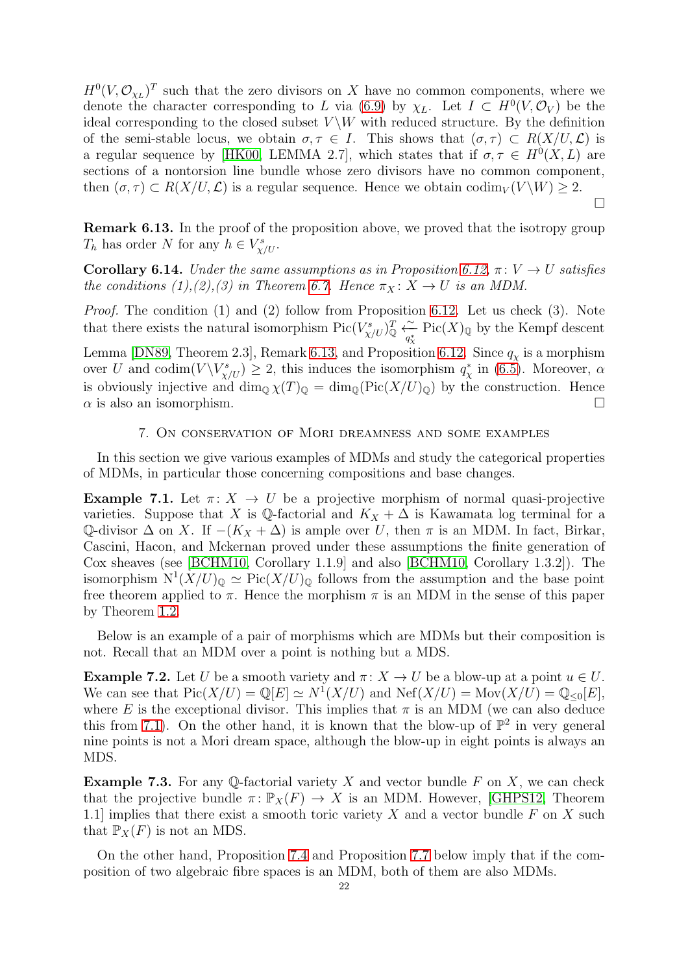$H^0(V, \mathcal{O}_{\chi_L})^T$  such that the zero divisors on X have no common components, where we denote the character corresponding to L via [\(6.9\)](#page-20-1) by  $\chi_L$ . Let  $I \subset H^0(V, \mathcal{O}_V)$  be the ideal corresponding to the closed subset  $V \backslash W$  with reduced structure. By the definition of the semi-stable locus, we obtain  $\sigma, \tau \in I$ . This shows that  $(\sigma, \tau) \subset R(X/U, \mathcal{L})$  is a regular sequence by [\[HK00,](#page-27-1) LEMMA 2.7], which states that if  $\sigma, \tau \in H^0(X, L)$  are sections of a nontorsion line bundle whose zero divisors have no common component, then  $(\sigma, \tau) \subset R(X/U, \mathcal{L})$  is a regular sequence. Hence we obtain codim<sub>V</sub>  $(V \backslash W) \geq 2$ .

<span id="page-21-3"></span>Remark 6.13. In the proof of the proposition above, we proved that the isotropy group  $T_h$  has order N for any  $h \in V^s_{\chi/U}$ .

 $\Box$ 

<span id="page-21-2"></span>Corollary 6.14. Under the same assumptions as in Proposition [6.12,](#page-20-0)  $\pi: V \to U$  satisfies the conditions (1),(2),(3) in Theorem [6.7.](#page-16-0) Hence  $\pi_X : X \to U$  is an MDM.

Proof. The condition (1) and (2) follow from Proposition [6.12.](#page-20-0) Let us check (3). Note that there exists the natural isomorphism  $Pic(V^s_{\chi/U})^T_{\mathbb{Q}} \xleftarrow{^\sim}_{q^*_{\chi}} Pic(X)_{\mathbb{Q}}$  by the Kempf descent

Lemma [\[DN89,](#page-27-12) Theorem 2.3], Remark [6.13,](#page-21-3) and Proposition [6.12.](#page-20-0) Since  $q_\chi$  is a morphism over U and codim $(V\backslash V^s_{\chi/U}) \geq 2$ , this induces the isomorphism  $q^*_{\chi}$  in [\(6.5\)](#page-17-0). Moreover,  $\alpha$ is obviously injective and  $\dim_{\mathbb{Q}} \chi(T)_{\mathbb{Q}} = \dim_{\mathbb{Q}} (\text{Pic}(X/U)_{\mathbb{Q}})$  by the construction. Hence  $\alpha$  is also an isomorphism.

#### 7. On conservation of Mori dreamness and some examples

<span id="page-21-0"></span>In this section we give various examples of MDMs and study the categorical properties of MDMs, in particular those concerning compositions and base changes.

<span id="page-21-4"></span>Example 7.1. Let  $\pi: X \to U$  be a projective morphism of normal quasi-projective varieties. Suppose that X is Q-factorial and  $K_X + \Delta$  is Kawamata log terminal for a Q-divisor  $\Delta$  on X. If  $-(K_X + \Delta)$  is ample over U, then  $\pi$  is an MDM. In fact, Birkar, Cascini, Hacon, and Mckernan proved under these assumptions the finite generation of Cox sheaves (see [\[BCHM10,](#page-27-2) Corollary 1.1.9] and also [\[BCHM10,](#page-27-2) Corollary 1.3.2]). The isomorphism  $N^1(X/U)_{\mathbb{Q}} \simeq Pic(X/U)_{\mathbb{Q}}$  follows from the assumption and the base point free theorem applied to  $\pi$ . Hence the morphism  $\pi$  is an MDM in the sense of this paper by Theorem [1.2.](#page-1-1)

Below is an example of a pair of morphisms which are MDMs but their composition is not. Recall that an MDM over a point is nothing but a MDS.

<span id="page-21-1"></span>**Example 7.2.** Let U be a smooth variety and  $\pi: X \to U$  be a blow-up at a point  $u \in U$ . We can see that  $Pic(X/U) = \mathbb{Q}[E] \simeq N^1(X/U)$  and  $Nef(X/U) = \text{Mov}(X/U) = \mathbb{Q}_{\leq 0}[E],$ where E is the exceptional divisor. This implies that  $\pi$  is an MDM (we can also deduce this from [7.1\)](#page-21-4). On the other hand, it is known that the blow-up of  $\mathbb{P}^2$  in very general nine points is not a Mori dream space, although the blow-up in eight points is always an MDS.

**Example 7.3.** For any Q-factorial variety X and vector bundle F on X, we can check that the projective bundle  $\pi: \mathbb{P}_X(F) \to X$  is an MDM. However, [\[GHPS12,](#page-27-13) Theorem 1.1] implies that there exist a smooth toric variety  $X$  and a vector bundle  $F$  on  $X$  such that  $\mathbb{P}_X(F)$  is not an MDS.

On the other hand, Proposition [7.4](#page-22-0) and Proposition [7.7](#page-23-0) below imply that if the composition of two algebraic fibre spaces is an MDM, both of them are also MDMs.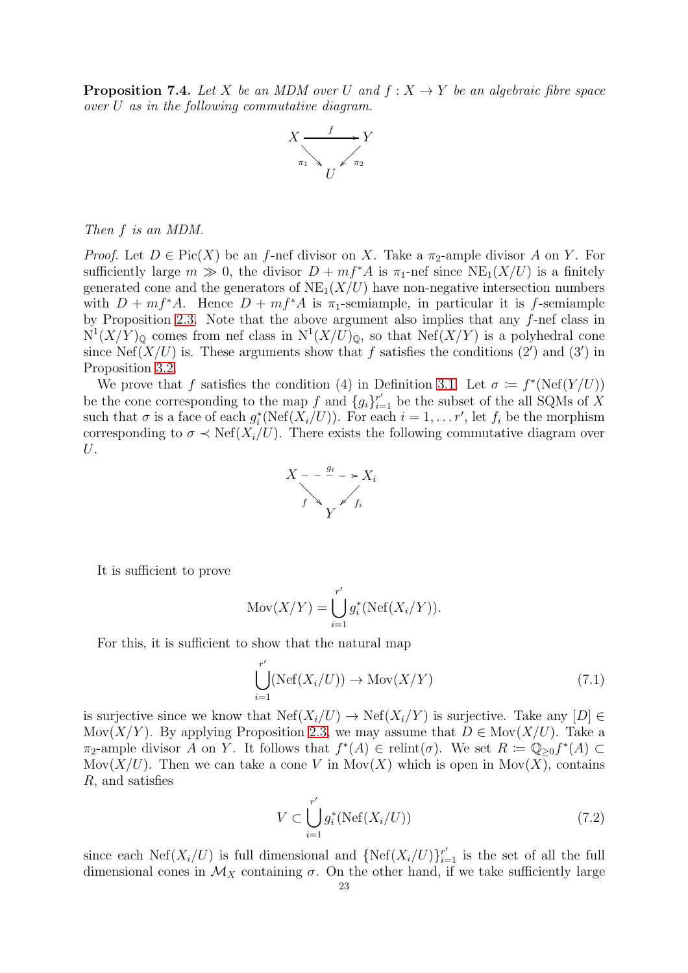<span id="page-22-0"></span>**Proposition 7.4.** Let X be an MDM over U and  $f: X \rightarrow Y$  be an algebraic fibre space over U as in the following commutative diagram.



### Then f is an MDM.

*Proof.* Let  $D \in Pic(X)$  be an f-nef divisor on X. Take a  $\pi_2$ -ample divisor A on Y. For sufficiently large  $m \gg 0$ , the divisor  $D + mf^*A$  is  $\pi_1$ -nef since  $NE_1(X/U)$  is a finitely generated cone and the generators of  $NE<sub>1</sub>(X/U)$  have non-negative intersection numbers with  $D + mf^*A$ . Hence  $D + mf^*A$  is  $\pi_1$ -semiample, in particular it is f-semiample by Proposition [2.3.](#page-4-0) Note that the above argument also implies that any f-nef class in  $N^1(X/Y)_{\mathbb{Q}}$  comes from nef class in  $N^1(X/U)_{\mathbb{Q}}$ , so that  $N\text{ef}(X/Y)$  is a polyhedral cone since Nef( $X/U$ ) is. These arguments show that f satisfies the conditions (2') and (3') in Proposition [3.2.](#page-8-2)

We prove that f satisfies the condition (4) in Definition [3.1.](#page-8-1) Let  $\sigma := f^*(\text{Nef}(Y/U))$ be the cone corresponding to the map f and  $\{g_i\}_{i=1}^{r'}$  be the subset of the all SQMs of X such that  $\sigma$  is a face of each  $g_i^*(\text{Nef}(X_i/U))$ . For each  $i = 1, ..., r'$ , let  $f_i$  be the morphism corresponding to  $\sigma \prec \text{Nef}(X_i/U)$ . There exists the following commutative diagram over U.



It is sufficient to prove

$$
Mov(X/Y)=\bigcup_{i=1}^{r'}g_i^*(\text{Nef}(X_i/Y)).
$$

For this, it is sufficient to show that the natural map

<span id="page-22-2"></span>
$$
\bigcup_{i=1}^{r'} (\text{Nef}(X_i/U)) \to \text{Mov}(X/Y) \tag{7.1}
$$

is surjective since we know that  $Nef(X_i/U) \to Nef(X_i/Y)$  is surjective. Take any  $[D] \in$ Mov $(X/Y)$ . By applying Proposition [2.3,](#page-4-0) we may assume that  $D \in \text{Mov}(X/U)$ . Take a  $\pi_2$ -ample divisor A on Y. It follows that  $f^*(A) \in \text{relint}(\sigma)$ . We set  $R := \mathbb{Q}_{\geq 0} f^*(A) \subset$ Mov $(X/U)$ . Then we can take a cone V in Mov $(X)$  which is open in Mov $(X)$ , contains R, and satisfies

<span id="page-22-1"></span>
$$
V \subset \bigcup_{i=1}^{r'} g_i^*(\text{Nef}(X_i/U))
$$
\n(7.2)

since each Nef $(X_i/U)$  is full dimensional and  $\{\text{Nef}(X_i/U)\}_{i=1}^{r'}$  is the set of all the full dimensional cones in  $\mathcal{M}_X$  containing  $\sigma$ . On the other hand, if we take sufficiently large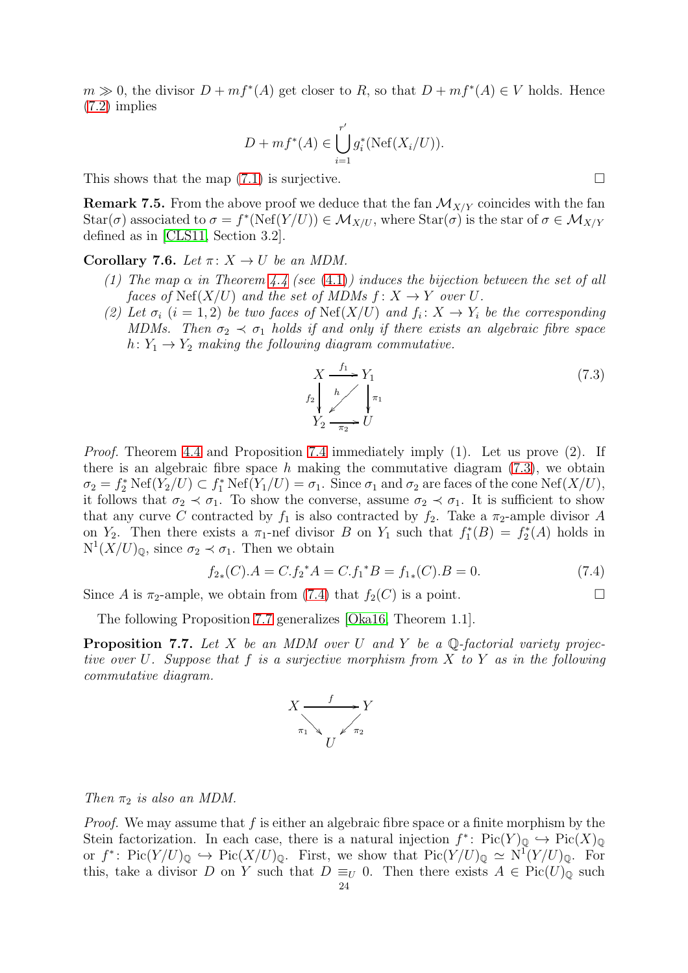$m \gg 0$ , the divisor  $D + mf^*(A)$  get closer to R, so that  $D + mf^*(A) \in V$  holds. Hence [\(7.2\)](#page-22-1) implies

$$
D + mf^*(A) \in \bigcup_{i=1}^{r'} g_i^*(\text{Nef}(X_i/U)).
$$

This shows that the map  $(7.1)$  is surjective.

**Remark 7.5.** From the above proof we deduce that the fan  $\mathcal{M}_{X/Y}$  coincides with the fan  $\text{Star}(\sigma)$  associated to  $\sigma = f^*(\text{Nef}(Y/U)) \in \mathcal{M}_{X/U}$ , where  $\text{Star}(\sigma)$  is the star of  $\sigma \in \mathcal{M}_{X/Y}$ defined as in [\[CLS11,](#page-27-14) Section 3.2].

Corollary 7.6. Let  $\pi: X \to U$  be an MDM.

- (1) The map  $\alpha$  in Theorem [4.4](#page-9-1) (see [\(4.1\)](#page-9-5)) induces the bijection between the set of all faces of  $\text{Nef}(X/U)$  and the set of MDMs  $f: X \to Y$  over U.
- (2) Let  $\sigma_i$  (i = 1,2) be two faces of Net(X/U) and  $f_i: X \to Y_i$  be the corresponding MDMs. Then  $\sigma_2 \prec \sigma_1$  holds if and only if there exists an algebraic fibre space h:  $Y_1 \rightarrow Y_2$  making the following diagram commutative.

$$
X \xrightarrow{f_1} Y_1
$$
  
\n
$$
f_2 \downarrow \qquad \qquad \downarrow \pi_1
$$
  
\n
$$
Y_2 \xrightarrow{\pi_2} U
$$
\n(7.3)

Proof. Theorem [4.4](#page-9-1) and Proposition [7.4](#page-22-0) immediately imply (1). Let us prove (2). If there is an algebraic fibre space h making the commutative diagram  $(7.3)$ , we obtain  $\sigma_2 = f_2^* \text{Nef}(Y_2/U) \subset f_1^* \text{Nef}(Y_1/U) = \sigma_1.$  Since  $\sigma_1$  and  $\sigma_2$  are faces of the cone  $\text{Nef}(X/U)$ , it follows that  $\sigma_2 \prec \sigma_1$ . To show the converse, assume  $\sigma_2 \prec \sigma_1$ . It is sufficient to show that any curve C contracted by  $f_1$  is also contracted by  $f_2$ . Take a  $\pi_2$ -ample divisor A on  $Y_2$ . Then there exists a  $\pi_1$ -nef divisor B on  $Y_1$  such that  $f_1^*(B) = f_2^*(A)$  holds in  $N^1(X/U)_{\mathbb{Q}}$ , since  $\sigma_2 \prec \sigma_1$ . Then we obtain

$$
f_{2*}(C).A = C.f_2^*A = C.f_1^*B = f_{1*}(C).B = 0.
$$
\n(7.4)

Since A is  $\pi_2$ -ample, we obtain from [\(7.4\)](#page-23-2) that  $f_2(C)$  is a point.

The following Proposition [7.7](#page-23-0) generalizes [\[Oka16,](#page-28-0) Theorem 1.1].

<span id="page-23-0"></span>**Proposition 7.7.** Let X be an MDM over U and Y be a  $\mathbb{Q}$ -factorial variety projective over U. Suppose that f is a surjective morphism from X to Y as in the following commutative diagram.

<span id="page-23-2"></span>

Then  $\pi_2$  is also an MDM.

*Proof.* We may assume that  $f$  is either an algebraic fibre space or a finite morphism by the Stein factorization. In each case, there is a natural injection  $f^*$ :  $Pic(Y)_{\mathbb{Q}} \hookrightarrow Pic(X)_{\mathbb{Q}}$ or  $f^*: Pic(Y/U)_{\mathbb{Q}} \hookrightarrow Pic(X/U)_{\mathbb{Q}}$ . First, we show that  $Pic(Y/U)_{\mathbb{Q}} \simeq N^{1}(Y/U)_{\mathbb{Q}}$ . For this, take a divisor D on Y such that  $D \equiv_U 0$ . Then there exists  $A \in Pic(U)_\mathbb{Q}$  such

<span id="page-23-1"></span>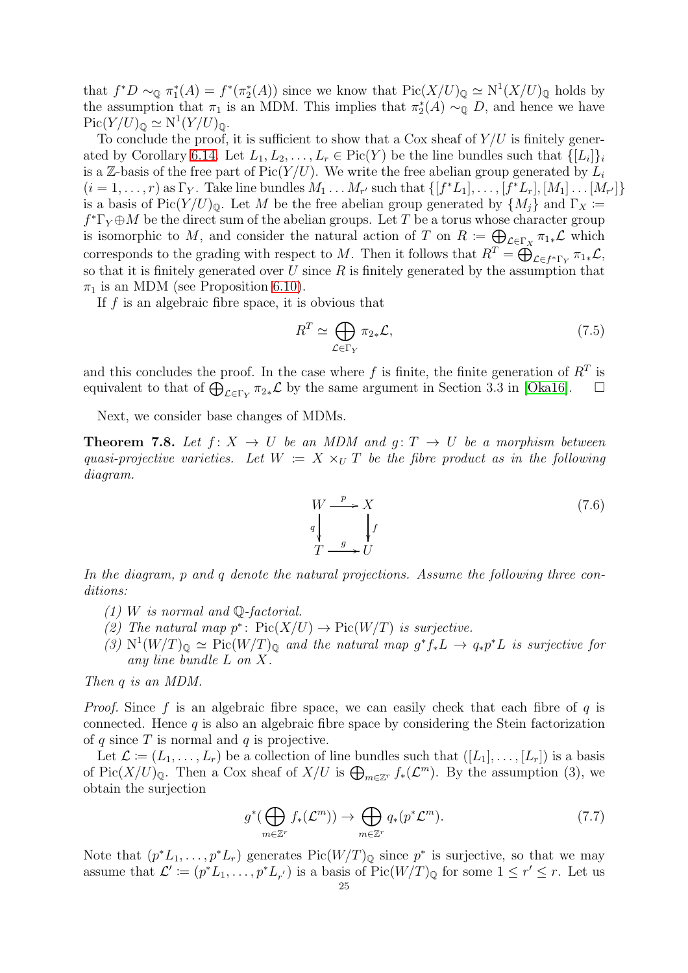that  $f^*D \sim_{\mathbb{Q}} \pi_1^*(A) = f^*(\pi_2^*(A))$  since we know that  $Pic(X/U)_{\mathbb{Q}} \simeq N^1(X/U)_{\mathbb{Q}}$  holds by the assumption that  $\pi_1$  is an MDM. This implies that  $\pi_2^*(A) \sim_{\mathbb{Q}} D$ , and hence we have  $Pic(Y/U)_{\mathbb{Q}} \simeq N^1(Y/U)_{\mathbb{Q}}.$ 

To conclude the proof, it is sufficient to show that a Cox sheaf of  $Y/U$  is finitely gener-ated by Corollary [6.14.](#page-21-2) Let  $L_1, L_2, \ldots, L_r \in Pic(Y)$  be the line bundles such that  $\{[L_i]\}_i$ is a Z-basis of the free part of  $Pic(Y/U)$ . We write the free abelian group generated by  $L_i$  $(i = 1, \ldots, r)$  as  $\Gamma_Y$ . Take line bundles  $M_1 \ldots M_{r'}$  such that  $\{[f^*L_1], \ldots, [f^*L_r], [M_1] \ldots [M_{r'}]\}$ is a basis of Pic $(Y/U)_{\mathbb{Q}}$ . Let M be the free abelian group generated by  $\{M_i\}$  and  $\Gamma_X \coloneqq$  $f^*\Gamma_Y \oplus M$  be the direct sum of the abelian groups. Let T be a torus whose character group is isomorphic to M, and consider the natural action of T on  $R := \bigoplus_{\mathcal{L} \in \Gamma_X} \pi_{1*} \mathcal{L}$  which corresponds to the grading with respect to M. Then it follows that  $R^T = \bigoplus_{\mathcal{L} \in f^* \Gamma_Y}^{\infty} \pi_{1*} \mathcal{L}$ , so that it is finitely generated over  $U$  since  $R$  is finitely generated by the assumption that  $\pi_1$  is an MDM (see Proposition [6.10\)](#page-19-1).

If  $f$  is an algebraic fibre space, it is obvious that

$$
R^T \simeq \bigoplus_{\mathcal{L} \in \Gamma_Y} \pi_{2*} \mathcal{L},\tag{7.5}
$$

and this concludes the proof. In the case where f is finite, the finite generation of  $R<sup>T</sup>$  is equivalent to that of  $\bigoplus_{\mathcal{L}\in\Gamma_Y} \pi_{2*}\mathcal{L}$  by the same argument in Section 3.3 in [\[Oka16\]](#page-28-0).  $\Box$ 

Next, we consider base changes of MDMs.

<span id="page-24-1"></span>**Theorem 7.8.** Let  $f: X \to U$  be an MDM and  $g: T \to U$  be a morphism between quasi-projective varieties. Let  $W = X \times_U T$  be the fibre product as in the following diagram.

<span id="page-24-2"></span>
$$
W \xrightarrow{p} X
$$
  
\n
$$
q \downarrow f
$$
  
\n
$$
T \xrightarrow{g} U
$$
\n(7.6)

In the diagram, p and q denote the natural projections. Assume the following three conditions:

- $(1)$  W is normal and Q-factorial.
- (2) The natural map  $p^*$ :  $Pic(X/U) \to Pic(W/T)$  is surjective.
- (3)  $N^1(W/T)_{\mathbb{Q}} \simeq \text{Pic}(W/T)_{\mathbb{Q}}$  and the natural map  $g^*f_*L \to q_*p^*L$  is surjective for any line bundle L on X.

Then *a* is an MDM.

*Proof.* Since f is an algebraic fibre space, we can easily check that each fibre of q is connected. Hence  $q$  is also an algebraic fibre space by considering the Stein factorization of q since  $T$  is normal and  $q$  is projective.

Let  $\mathcal{L} \coloneqq (L_1, \ldots, L_r)$  be a collection of line bundles such that  $([L_1], \ldots, [L_r])$  is a basis of Pic $(X/U)_{\mathbb{Q}}$ . Then a Cox sheaf of  $X/U$  is  $\bigoplus_{m\in\mathbb{Z}^r} f_*(\mathcal{L}^m)$ . By the assumption (3), we obtain the surjection

<span id="page-24-0"></span>
$$
g^*(\bigoplus_{m\in\mathbb{Z}^r}f_*(\mathcal{L}^m))\to\bigoplus_{m\in\mathbb{Z}^r}q_*(p^*\mathcal{L}^m).
$$
 (7.7)

Note that  $(p^*L_1, \ldots, p^*L_r)$  generates  $Pic(W/T)_{\mathbb{Q}}$  since  $p^*$  is surjective, so that we may assume that  $\mathcal{L}' \coloneqq (p^*L_1, \ldots, p^*L_{r'})$  is a basis of  $Pic(W/T)_{\mathbb{Q}}$  for some  $1 \leq r' \leq r$ . Let us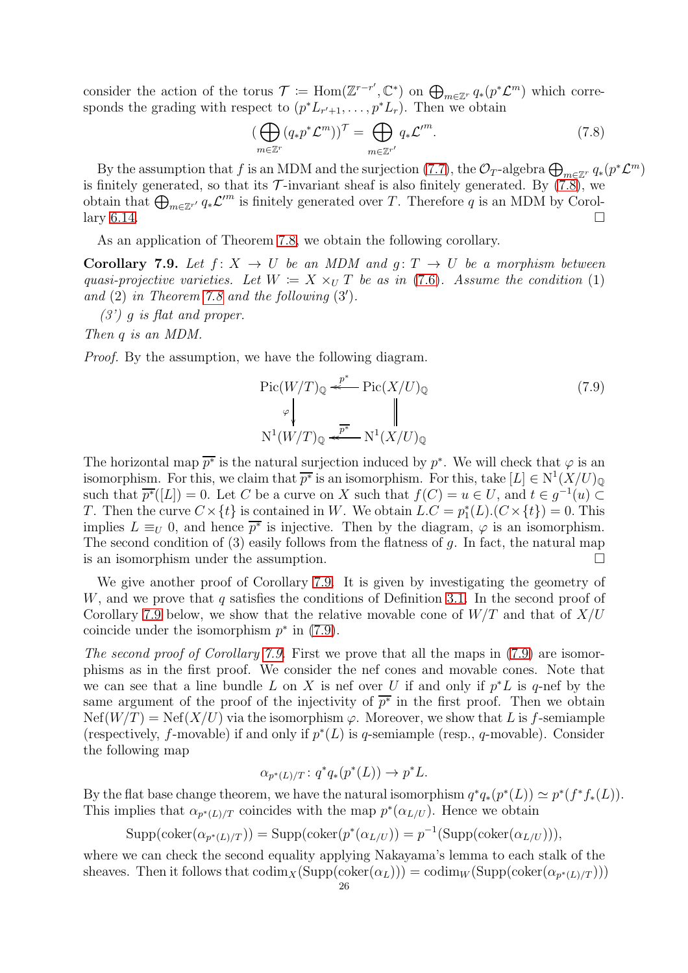consider the action of the torus  $\mathcal{T} := \text{Hom}(\mathbb{Z}^{r-r}, \mathbb{C}^*)$  on  $\bigoplus_{m \in \mathbb{Z}^r} q_*(p^*\mathcal{L}^m)$  which corresponds the grading with respect to  $(p^*L_{r'+1}, \ldots, p^*L_r)$ . Then we obtain

<span id="page-25-0"></span>
$$
\left(\bigoplus_{m\in\mathbb{Z}^r} (q_*p^*\mathcal{L}^m)\right)^{\mathcal{T}} = \bigoplus_{m\in\mathbb{Z}^{r'}} q_*\mathcal{L}'^m.
$$
\n(7.8)

By the assumption that f is an MDM and the surjection [\(7.7\)](#page-24-0), the  $\mathcal{O}_T$ -algebra  $\bigoplus_{m\in\mathbb{Z}^r} q_*(p^*\mathcal{L}^m)$ is finitely generated, so that its  $\mathcal{T}$ -invariant sheaf is also finitely generated. By  $(7.8)$ , we obtain that  $\bigoplus_{m\in\mathbb{Z}^{r'}}q_*\mathcal{L}^m$  is finitely generated over T. Therefore q is an MDM by Corol- $\lim_{n \to \infty} 6.14.$  $\lim_{n \to \infty} 6.14.$ 

As an application of Theorem [7.8,](#page-24-1) we obtain the following corollary.

<span id="page-25-1"></span>Corollary 7.9. Let  $f: X \to U$  be an MDM and  $g: T \to U$  be a morphism between quasi-projective varieties. Let  $W = X \times_U T$  be as in [\(7.6\)](#page-24-2). Assume the condition (1) and  $(2)$  in Theorem [7.8](#page-24-1) and the following  $(3')$ .

 $(3')$  g is flat and proper.

Then q is an MDM.

Proof. By the assumption, we have the following diagram.

<span id="page-25-2"></span>
$$
\operatorname{Pic}(W/T)_{\mathbb{Q}} \stackrel{p^*}{\underset{\smile}{\longleftarrow}} \operatorname{Pic}(X/U)_{\mathbb{Q}} \qquad (7.9)
$$
\n
$$
\downarrow^{\mathbb{P}} \qquad \qquad \parallel
$$
\n
$$
\operatorname{N}^1(W/T)_{\mathbb{Q}} \stackrel{p^*}{\underset{\smile}{\longleftarrow}} \operatorname{N}^1(X/U)_{\mathbb{Q}}
$$

The horizontal map  $\overline{p^*}$  is the natural surjection induced by  $p^*$ . We will check that  $\varphi$  is an isomorphism. For this, we claim that  $\overline{p^*}$  is an isomorphism. For this, take  $[L] \in N^1(X/U)_{\mathbb{Q}}$ such that  $\overline{p^*}([L]) = 0$ . Let C be a curve on X such that  $f(C) = u \in U$ , and  $t \in g^{-1}(u) \subset$ T. Then the curve  $C \times \{t\}$  is contained in W. We obtain  $L.C = p_1^*(L) \cdot (C \times \{t\}) = 0$ . This implies  $L \equiv_U 0$ , and hence  $\overline{p^*}$  is injective. Then by the diagram,  $\varphi$  is an isomorphism. The second condition of  $(3)$  easily follows from the flatness of q. In fact, the natural map is an isomorphism under the assumption.

We give another proof of Corollary [7.9.](#page-25-1) It is given by investigating the geometry of W, and we prove that q satisfies the conditions of Definition [3.1.](#page-8-1) In the second proof of Corollary [7.9](#page-25-1) below, we show that the relative movable cone of  $W/T$  and that of  $X/U$ coincide under the isomorphism  $p^*$  in [\(7.9\)](#page-25-2).

The second proof of Corollary [7.9.](#page-25-1) First we prove that all the maps in [\(7.9\)](#page-25-2) are isomorphisms as in the first proof. We consider the nef cones and movable cones. Note that we can see that a line bundle L on X is nef over U if and only if  $p^*L$  is q-nef by the same argument of the proof of the injectivity of  $\overline{p^*}$  in the first proof. Then we obtain  $Nef(W/T) = Nef(X/U)$  via the isomorphism  $\varphi$ . Moreover, we show that L is f-semiample (respectively, f-movable) if and only if  $p^*(L)$  is q-semiample (resp., q-movable). Consider the following map

$$
\alpha_{p^*(L)/T} \colon q^*q_*(p^*(L)) \to p^*L.
$$

By the flat base change theorem, we have the natural isomorphism  $q^*q_*(p^*(L)) \simeq p^*(f^*f_*(L)).$ This implies that  $\alpha_{p^*(L)/T}$  coincides with the map  $p^*(\alpha_{L/U})$ . Hence we obtain

 $\text{Supp}(\text{coker}(\alpha_{p^*(L)/T})) = \text{Supp}(\text{coker}(p^*(\alpha_{L/U})) = p^{-1}(\text{Supp}(\text{coker}(\alpha_{L/U}))),$ 

where we can check the second equality applying Nakayama's lemma to each stalk of the sheaves. Then it follows that  $\text{codim}_X(\text{Supp}(\text{coker}(\alpha_L))) = \text{codim}_W(\text{Supp}(\text{coker}(\alpha_{p^*(L)/T})))$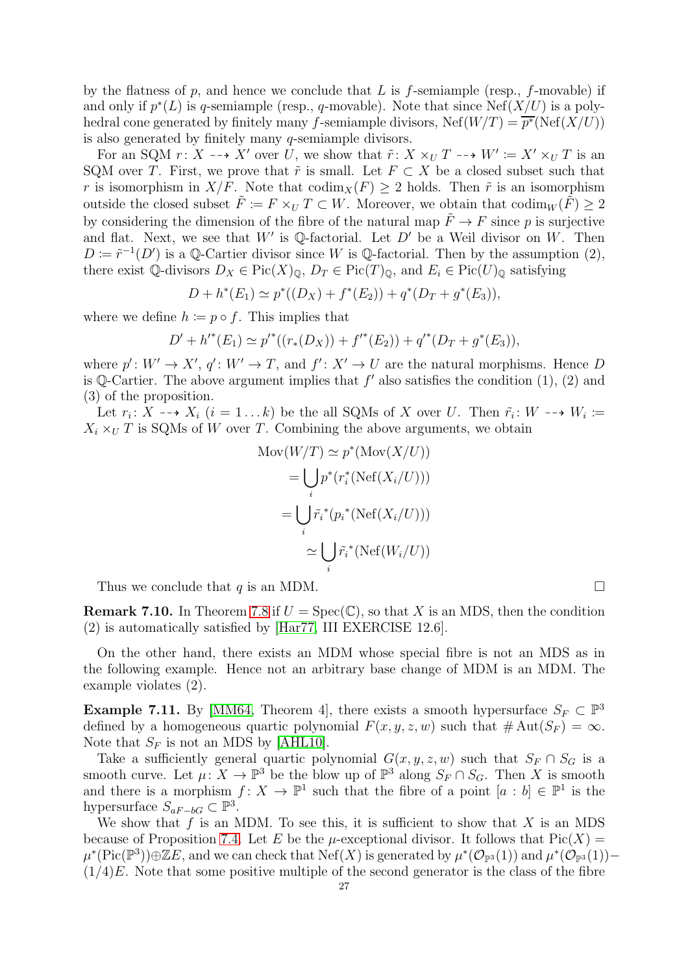by the flatness of p, and hence we conclude that L is f-semiample (resp., f-movable) if and only if  $p^*(L)$  is q-semiample (resp., q-movable). Note that since  $N\text{ef}(X/U)$  is a polyhedral cone generated by finitely many f-semiample divisors,  $N \text{ef}(W/T) = \overline{p^*}(\text{Nef}(X/U))$ is also generated by finitely many q-semiample divisors.

For an SQM  $r: X \dashrightarrow X'$  over U, we show that  $\tilde{r}: X \times_U T \dashrightarrow W' := X' \times_U T$  is an SQM over T. First, we prove that  $\tilde{r}$  is small. Let  $F \subset X$  be a closed subset such that r is isomorphism in  $X/F$ . Note that  $\text{codim}_X(F) \geq 2$  holds. Then  $\tilde{r}$  is an isomorphism outside the closed subset  $\tilde{F} := F \times_U T \subset W$ . Moreover, we obtain that  $\text{codim}_W(\tilde{F}) \geq 2$ by considering the dimension of the fibre of the natural map  $\tilde{F} \to F$  since p is surjective and flat. Next, we see that  $W'$  is Q-factorial. Let  $D'$  be a Weil divisor on W. Then  $D \coloneqq \tilde{r}^{-1}(D')$  is a Q-Cartier divisor since W is Q-factorial. Then by the assumption (2), there exist Q-divisors  $D_X \in Pic(X)_{\mathbb{Q}}, D_T \in Pic(T)_{\mathbb{Q}},$  and  $E_i \in Pic(U)_{\mathbb{Q}}$  satisfying

$$
D + h^*(E_1) \simeq p^*((D_X) + f^*(E_2)) + q^*(D_T + g^*(E_3)),
$$

where we define  $h \coloneqq p \circ f$ . This implies that

$$
D' + h'^*(E_1) \simeq p'^*((r_*(D_X)) + f'^*(E_2)) + q'^*(D_T + g^*(E_3)),
$$

where  $p' : W' \to X'$ ,  $q' : W' \to T$ , and  $f' : X' \to U$  are the natural morphisms. Hence D is  $\mathbb{Q}\text{-Cartier}$ . The above argument implies that  $f'$  also satisfies the condition  $(1)$ ,  $(2)$  and (3) of the proposition.

Let  $r_i: X \dashrightarrow X_i$   $(i = 1...k)$  be the all SQMs of X over U. Then  $\tilde{r_i}: W \dashrightarrow W_i :=$  $X_i \times_U T$  is SQMs of W over T. Combining the above arguments, we obtain

$$
\text{Mov}(W/T) \simeq p^*(\text{Mov}(X/U))
$$
\n
$$
= \bigcup_i p^*(r_i^*(\text{Nef}(X_i/U)))
$$
\n
$$
= \bigcup_i \tilde{r_i}^*(p_i^*(\text{Nef}(X_i/U)))
$$
\n
$$
\simeq \bigcup_i \tilde{r_i}^*(\text{Nef}(W_i/U))
$$

Thus we conclude that  $q$  is an MDM.

**Remark 7.10.** In Theorem [7.8](#page-24-1) if  $U = \text{Spec}(\mathbb{C})$ , so that X is an MDS, then the condition (2) is automatically satisfied by [\[Har77,](#page-27-8) III EXERCISE 12.6].

On the other hand, there exists an MDM whose special fibre is not an MDS as in the following example. Hence not an arbitrary base change of MDM is an MDM. The example violates (2).

<span id="page-26-0"></span>**Example 7.11.** By [\[MM64,](#page-28-3) Theorem 4], there exists a smooth hypersurface  $S_F \subset \mathbb{P}^3$ defined by a homogeneous quartic polynomial  $F(x, y, z, w)$  such that  $\# \text{Aut}(S_F) = \infty$ . Note that  $S_F$  is not an MDS by [\[AHL10\]](#page-27-3).

Take a sufficiently general quartic polynomial  $G(x, y, z, w)$  such that  $S_F \cap S_G$  is a smooth curve. Let  $\mu: X \to \mathbb{P}^3$  be the blow up of  $\mathbb{P}^3$  along  $S_F \cap S_G$ . Then X is smooth and there is a morphism  $f: X \to \mathbb{P}^1$  such that the fibre of a point  $[a : b] \in \mathbb{P}^1$  is the hypersurface  $S_{aF-bG} \subset \mathbb{P}^3$ .

We show that  $f$  is an MDM. To see this, it is sufficient to show that  $X$  is an MDS because of Proposition [7.4.](#page-22-0) Let E be the  $\mu$ -exceptional divisor. It follows that  $Pic(X) =$  $\mu^*(\text{Pic}(\mathbb{P}^3))\oplus \mathbb{Z}E$ , and we can check that  $\text{Nef}(X)$  is generated by  $\mu^*(\mathcal{O}_{\mathbb{P}^3}(1))$  and  $\mu^*(\mathcal{O}_{\mathbb{P}^3}(1))$  - $(1/4)E$ . Note that some positive multiple of the second generator is the class of the fibre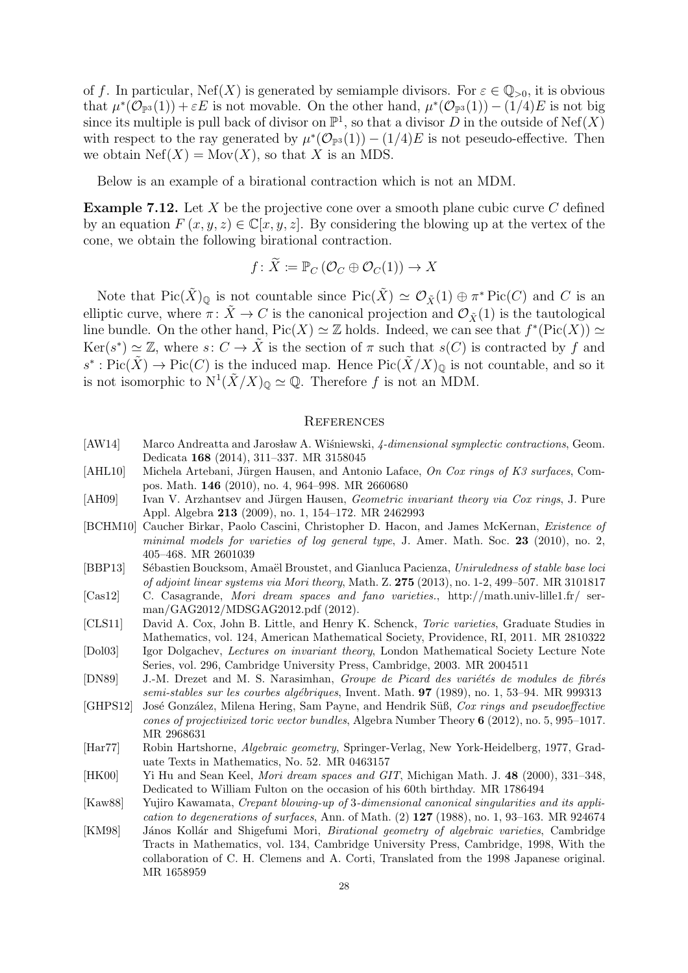of f. In particular, Nef(X) is generated by semiample divisors. For  $\varepsilon \in \mathbb{Q}_{>0}$ , it is obvious that  $\mu^*(\mathcal{O}_{\mathbb{P}^3}(1)) + \varepsilon E$  is not movable. On the other hand,  $\mu^*(\mathcal{O}_{\mathbb{P}^3}(1)) - (1/4)E$  is not big since its multiple is pull back of divisor on  $\mathbb{P}^1$ , so that a divisor D in the outside of  $\text{Nef}(X)$ with respect to the ray generated by  $\mu^*(\mathcal{O}_{\mathbb{P}^3}(1)) - (1/4)E$  is not peseudo-effective. Then we obtain  $Nef(X) = Mov(X)$ , so that X is an MDS.

Below is an example of a birational contraction which is not an MDM.

**Example 7.12.** Let X be the projective cone over a smooth plane cubic curve  $C$  defined by an equation  $F(x, y, z) \in \mathbb{C}[x, y, z]$ . By considering the blowing up at the vertex of the cone, we obtain the following birational contraction.

$$
f \colon X \coloneqq \mathbb{P}_C \left( \mathcal{O}_C \oplus \mathcal{O}_C(1) \right) \to X
$$

Note that  $Pic(\tilde{X})_{\mathbb{Q}}$  is not countable since  $Pic(\tilde{X}) \simeq \mathcal{O}_{\tilde{X}}(1) \oplus \pi^* Pic(C)$  and C is an elliptic curve, where  $\pi: \tilde{X} \to C$  is the canonical projection and  $\mathcal{O}_{\tilde{X}}(1)$  is the tautological line bundle. On the other hand,  $Pic(X) \simeq \mathbb{Z}$  holds. Indeed, we can see that  $f^*(Pic(X)) \simeq$  $\text{Ker}(s^*) \simeq \mathbb{Z}$ , where  $s: C \to \tilde{X}$  is the section of  $\pi$  such that  $s(C)$  is contracted by f and  $s^* : Pic(\tilde{X}) \to Pic(C)$  is the induced map. Hence  $Pic(\tilde{X}/X)_{\mathbb{Q}}$  is not countable, and so it is not isomorphic to  $N^1(\tilde{X}/X)_{\mathbb{Q}} \simeq \mathbb{Q}$ . Therefore f is not an MDM.

#### <span id="page-27-0"></span>**REFERENCES**

- <span id="page-27-4"></span>[AW14] Marco Andreatta and Jarosław A. Wiśniewski, 4-dimensional symplectic contractions, Geom. Dedicata 168 (2014), 311–337. MR 3158045
- <span id="page-27-3"></span>[AHL10] Michela Artebani, Jürgen Hausen, and Antonio Laface, On Cox rings of K3 surfaces, Compos. Math. 146 (2010), no. 4, 964–998. MR 2660680
- <span id="page-27-10"></span>[AH09] Ivan V. Arzhantsev and Jürgen Hausen, Geometric invariant theory via Cox rings, J. Pure Appl. Algebra 213 (2009), no. 1, 154–172. MR 2462993
- <span id="page-27-2"></span>[BCHM10] Caucher Birkar, Paolo Cascini, Christopher D. Hacon, and James McKernan, Existence of minimal models for varieties of log general type, J. Amer. Math. Soc. 23 (2010), no. 2, 405–468. MR 2601039
- <span id="page-27-9"></span>[BBP13] Sébastien Boucksom, Amaël Broustet, and Gianluca Pacienza, Uniruledness of stable base loci of adjoint linear systems via Mori theory, Math. Z. 275 (2013), no. 1-2, 499–507. MR 3101817
- <span id="page-27-5"></span>[Cas12] C. Casagrande, Mori dream spaces and fano varieties., http://math.univ-lille1.fr/ serman/GAG2012/MDSGAG2012.pdf (2012).
- <span id="page-27-14"></span>[CLS11] David A. Cox, John B. Little, and Henry K. Schenck, Toric varieties, Graduate Studies in Mathematics, vol. 124, American Mathematical Society, Providence, RI, 2011. MR 2810322 [Dol03] Igor Dolgachev, Lectures on invariant theory, London Mathematical Society Lecture Note
- <span id="page-27-11"></span>Series, vol. 296, Cambridge University Press, Cambridge, 2003. MR 2004511
- <span id="page-27-12"></span>[DN89] J.-M. Drezet and M. S. Narasimhan, Groupe de Picard des variétés de modules de fibrés semi-stables sur les courbes algébriques, Invent. Math. **97** (1989), no. 1, 53–94. MR 999313
- <span id="page-27-13"></span>[GHPS12] José González, Milena Hering, Sam Payne, and Hendrik Süß, Cox rings and pseudoeffective cones of projectivized toric vector bundles, Algebra Number Theory 6 (2012), no. 5, 995–1017. MR 2968631
- <span id="page-27-8"></span>[Har77] Robin Hartshorne, Algebraic geometry, Springer-Verlag, New York-Heidelberg, 1977, Graduate Texts in Mathematics, No. 52. MR 0463157
- <span id="page-27-1"></span>[HK00] Yi Hu and Sean Keel, Mori dream spaces and GIT, Michigan Math. J. 48 (2000), 331–348, Dedicated to William Fulton on the occasion of his 60th birthday. MR 1786494
- <span id="page-27-6"></span>[Kaw88] Yujiro Kawamata, Crepant blowing-up of 3-dimensional canonical singularities and its application to degenerations of surfaces. Ann. of Math.  $(2)$  127 (1988), no. 1, 93–163. MR 924674
- <span id="page-27-7"></span>[KM98] János Kollár and Shigefumi Mori, *Birational geometry of algebraic varieties*, Cambridge Tracts in Mathematics, vol. 134, Cambridge University Press, Cambridge, 1998, With the collaboration of C. H. Clemens and A. Corti, Translated from the 1998 Japanese original. MR 1658959